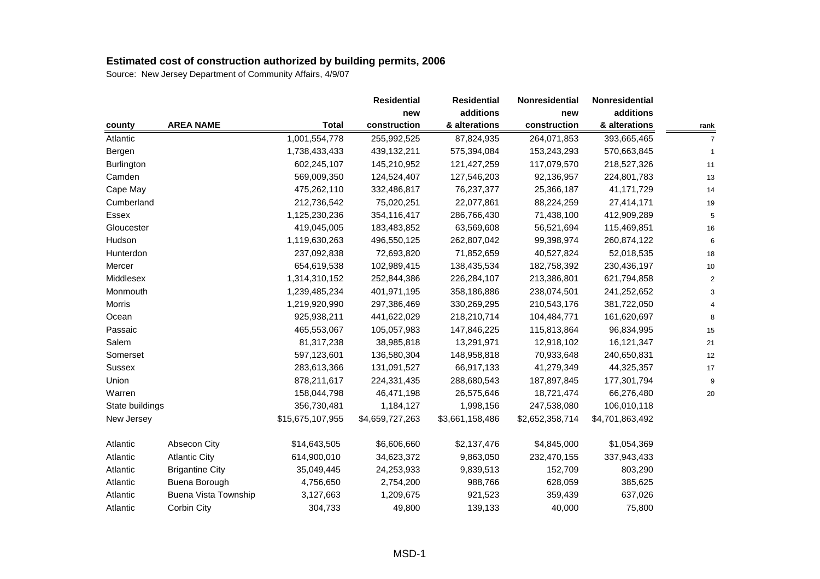|                   |                             |                  | <b>Residential</b> | <b>Residential</b> | Nonresidential  | Nonresidential  |                |
|-------------------|-----------------------------|------------------|--------------------|--------------------|-----------------|-----------------|----------------|
|                   |                             |                  | new                | additions          | new             | additions       |                |
| county            | <b>AREA NAME</b>            | <b>Total</b>     | construction       | & alterations      | construction    | & alterations   | rank           |
| Atlantic          |                             | 1,001,554,778    | 255,992,525        | 87,824,935         | 264,071,853     | 393,665,465     | $\overline{7}$ |
| Bergen            |                             | 1,738,433,433    | 439,132,211        | 575,394,084        | 153,243,293     | 570,663,845     | 1              |
| <b>Burlington</b> |                             | 602,245,107      | 145,210,952        | 121,427,259        | 117,079,570     | 218,527,326     | 11             |
| Camden            |                             | 569,009,350      | 124,524,407        | 127,546,203        | 92,136,957      | 224,801,783     | 13             |
| Cape May          |                             | 475,262,110      | 332,486,817        | 76,237,377         | 25,366,187      | 41,171,729      | 14             |
| Cumberland        |                             | 212,736,542      | 75,020,251         | 22,077,861         | 88,224,259      | 27,414,171      | 19             |
| Essex             |                             | 1,125,230,236    | 354,116,417        | 286,766,430        | 71,438,100      | 412,909,289     | 5              |
| Gloucester        |                             | 419,045,005      | 183,483,852        | 63,569,608         | 56,521,694      | 115,469,851     | 16             |
| Hudson            |                             | 1,119,630,263    | 496,550,125        | 262,807,042        | 99,398,974      | 260,874,122     | 6              |
| Hunterdon         |                             | 237,092,838      | 72,693,820         | 71,852,659         | 40,527,824      | 52,018,535      | 18             |
| Mercer            |                             | 654,619,538      | 102,989,415        | 138,435,534        | 182,758,392     | 230,436,197     | 10             |
| Middlesex         |                             | 1,314,310,152    | 252,844,386        | 226,284,107        | 213,386,801     | 621,794,858     | $\overline{2}$ |
| Monmouth          |                             | 1,239,485,234    | 401,971,195        | 358,186,886        | 238,074,501     | 241,252,652     | 3              |
| Morris            |                             | 1,219,920,990    | 297,386,469        | 330,269,295        | 210,543,176     | 381,722,050     |                |
| Ocean             |                             | 925,938,211      | 441,622,029        | 218,210,714        | 104,484,771     | 161,620,697     | 8              |
| Passaic           |                             | 465,553,067      | 105,057,983        | 147,846,225        | 115,813,864     | 96,834,995      | 15             |
| Salem             |                             | 81,317,238       | 38,985,818         | 13,291,971         | 12,918,102      | 16,121,347      | 21             |
| Somerset          |                             | 597,123,601      | 136,580,304        | 148,958,818        | 70,933,648      | 240,650,831     | 12             |
| Sussex            |                             | 283,613,366      | 131,091,527        | 66,917,133         | 41,279,349      | 44,325,357      | 17             |
| Union             |                             | 878,211,617      | 224,331,435        | 288,680,543        | 187,897,845     | 177,301,794     | 9              |
| Warren            |                             | 158,044,798      | 46,471,198         | 26,575,646         | 18,721,474      | 66,276,480      | 20             |
| State buildings   |                             | 356,730,481      | 1,184,127          | 1,998,156          | 247,538,080     | 106,010,118     |                |
| New Jersey        |                             | \$15,675,107,955 | \$4,659,727,263    | \$3,661,158,486    | \$2,652,358,714 | \$4,701,863,492 |                |
| Atlantic          | <b>Absecon City</b>         | \$14,643,505     | \$6,606,660        | \$2,137,476        | \$4,845,000     | \$1,054,369     |                |
| Atlantic          | <b>Atlantic City</b>        | 614,900,010      | 34,623,372         | 9,863,050          | 232,470,155     | 337,943,433     |                |
| Atlantic          | <b>Brigantine City</b>      | 35,049,445       | 24,253,933         | 9,839,513          | 152,709         | 803,290         |                |
| Atlantic          | Buena Borough               | 4,756,650        | 2,754,200          | 988,766            | 628,059         | 385,625         |                |
| Atlantic          | <b>Buena Vista Township</b> | 3,127,663        | 1,209,675          | 921,523            | 359,439         | 637,026         |                |
| Atlantic          | Corbin City                 | 304,733          | 49,800             | 139,133            | 40,000          | 75,800          |                |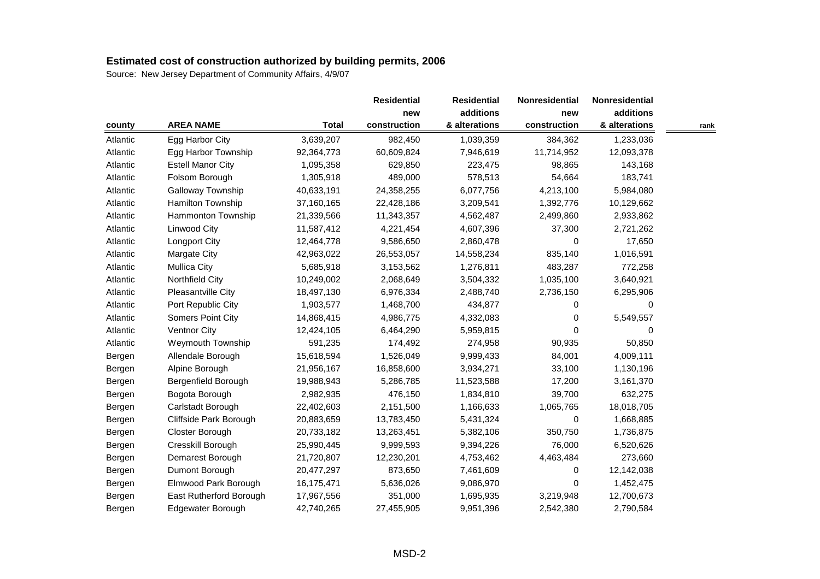|          |                          |              | <b>Residential</b> | <b>Residential</b> | Nonresidential<br>additions<br>new | Nonresidential |      |
|----------|--------------------------|--------------|--------------------|--------------------|------------------------------------|----------------|------|
|          |                          |              | new                |                    |                                    | additions      |      |
| county   | <b>AREA NAME</b>         | <b>Total</b> | construction       | & alterations      | construction                       | & alterations  | rank |
| Atlantic | Egg Harbor City          | 3,639,207    | 982,450            | 1,039,359          | 384,362                            | 1,233,036      |      |
| Atlantic | Egg Harbor Township      | 92,364,773   | 60,609,824         | 7,946,619          | 11,714,952                         | 12,093,378     |      |
| Atlantic | <b>Estell Manor City</b> | 1,095,358    | 629,850            | 223,475            | 98,865                             | 143,168        |      |
| Atlantic | Folsom Borough           | 1,305,918    | 489,000            | 578,513            | 54,664                             | 183,741        |      |
| Atlantic | Galloway Township        | 40,633,191   | 24,358,255         | 6,077,756          | 4,213,100                          | 5,984,080      |      |
| Atlantic | Hamilton Township        | 37,160,165   | 22,428,186         | 3,209,541          | 1,392,776                          | 10,129,662     |      |
| Atlantic | Hammonton Township       | 21,339,566   | 11,343,357         | 4,562,487          | 2,499,860                          | 2,933,862      |      |
| Atlantic | Linwood City             | 11,587,412   | 4,221,454          | 4,607,396          | 37,300                             | 2,721,262      |      |
| Atlantic | <b>Longport City</b>     | 12,464,778   | 9,586,650          | 2,860,478          | 0                                  | 17,650         |      |
| Atlantic | Margate City             | 42,963,022   | 26,553,057         | 14,558,234         | 835,140                            | 1,016,591      |      |
| Atlantic | <b>Mullica City</b>      | 5,685,918    | 3,153,562          | 1,276,811          | 483,287                            | 772,258        |      |
| Atlantic | Northfield City          | 10,249,002   | 2,068,649          | 3,504,332          | 1,035,100                          | 3,640,921      |      |
| Atlantic | Pleasantville City       | 18,497,130   | 6,976,334          | 2,488,740          | 2,736,150                          | 6,295,906      |      |
| Atlantic | Port Republic City       | 1,903,577    | 1,468,700          | 434,877            | 0                                  | 0              |      |
| Atlantic | Somers Point City        | 14,868,415   | 4,986,775          | 4,332,083          | 0                                  | 5,549,557      |      |
| Atlantic | Ventnor City             | 12,424,105   | 6,464,290          | 5,959,815          | $\Omega$                           | 0              |      |
| Atlantic | Weymouth Township        | 591,235      | 174,492            | 274,958            | 90,935                             | 50,850         |      |
| Bergen   | Allendale Borough        | 15,618,594   | 1,526,049          | 9,999,433          | 84,001                             | 4,009,111      |      |
| Bergen   | Alpine Borough           | 21,956,167   | 16,858,600         | 3,934,271          | 33,100                             | 1,130,196      |      |
| Bergen   | Bergenfield Borough      | 19,988,943   | 5,286,785          | 11,523,588         | 17,200                             | 3,161,370      |      |
| Bergen   | Bogota Borough           | 2,982,935    | 476,150            | 1,834,810          | 39,700                             | 632,275        |      |
| Bergen   | Carlstadt Borough        | 22,402,603   | 2,151,500          | 1,166,633          | 1,065,765                          | 18,018,705     |      |
| Bergen   | Cliffside Park Borough   | 20,883,659   | 13,783,450         | 5,431,324          | $\pmb{0}$                          | 1,668,885      |      |
| Bergen   | Closter Borough          | 20,733,182   | 13,263,451         | 5,382,106          | 350,750                            | 1,736,875      |      |
| Bergen   | Cresskill Borough        | 25,990,445   | 9,999,593          | 9,394,226          | 76,000                             | 6,520,626      |      |
| Bergen   | Demarest Borough         | 21,720,807   | 12,230,201         | 4,753,462          | 4,463,484                          | 273,660        |      |
| Bergen   | Dumont Borough           | 20,477,297   | 873,650            | 7,461,609          | 0                                  | 12,142,038     |      |
| Bergen   | Elmwood Park Borough     | 16,175,471   | 5,636,026          | 9,086,970          | 0                                  | 1,452,475      |      |
| Bergen   | East Rutherford Borough  | 17,967,556   | 351,000            | 1,695,935          | 3,219,948                          | 12,700,673     |      |
| Bergen   | Edgewater Borough        | 42,740,265   | 27,455,905         | 9,951,396          | 2,542,380                          | 2,790,584      |      |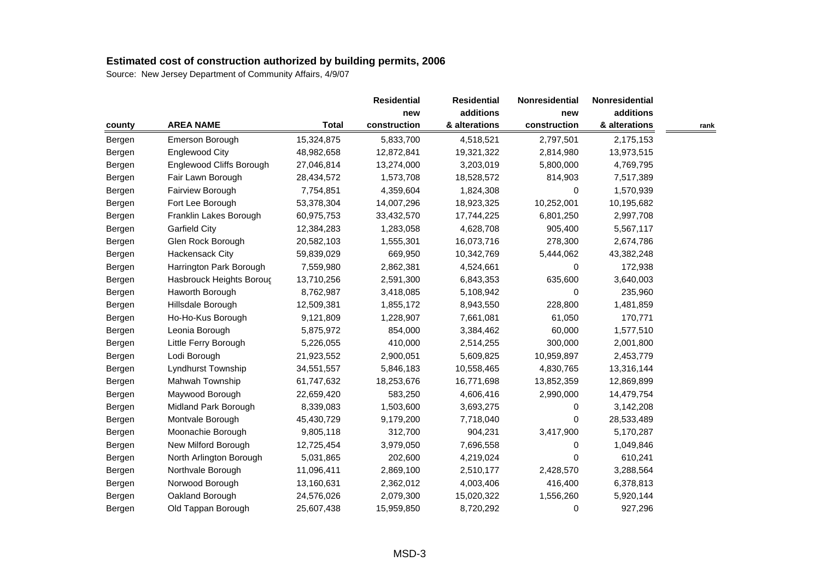|        |                          |              | <b>Residential</b> | <b>Residential</b> | Nonresidential | Nonresidential |      |
|--------|--------------------------|--------------|--------------------|--------------------|----------------|----------------|------|
|        |                          |              | new                | additions          | new            | additions      |      |
| county | <b>AREA NAME</b>         | <b>Total</b> | construction       | & alterations      | construction   | & alterations  | rank |
| Bergen | Emerson Borough          | 15,324,875   | 5,833,700          | 4,518,521          | 2,797,501      | 2,175,153      |      |
| Bergen | <b>Englewood City</b>    | 48,982,658   | 12,872,841         | 19,321,322         | 2,814,980      | 13,973,515     |      |
| Bergen | Englewood Cliffs Borough | 27,046,814   | 13,274,000         | 3,203,019          | 5,800,000      | 4,769,795      |      |
| Bergen | Fair Lawn Borough        | 28,434,572   | 1,573,708          | 18,528,572         | 814,903        | 7,517,389      |      |
| Bergen | Fairview Borough         | 7,754,851    | 4,359,604          | 1,824,308          | 0              | 1,570,939      |      |
| Bergen | Fort Lee Borough         | 53,378,304   | 14,007,296         | 18,923,325         | 10,252,001     | 10,195,682     |      |
| Bergen | Franklin Lakes Borough   | 60,975,753   | 33,432,570         | 17,744,225         | 6,801,250      | 2,997,708      |      |
| Bergen | <b>Garfield City</b>     | 12,384,283   | 1,283,058          | 4,628,708          | 905,400        | 5,567,117      |      |
| Bergen | Glen Rock Borough        | 20,582,103   | 1,555,301          | 16,073,716         | 278,300        | 2,674,786      |      |
| Bergen | Hackensack City          | 59,839,029   | 669,950            | 10,342,769         | 5,444,062      | 43,382,248     |      |
| Bergen | Harrington Park Borough  | 7,559,980    | 2,862,381          | 4,524,661          | 0              | 172,938        |      |
| Bergen | Hasbrouck Heights Boroug | 13,710,256   | 2,591,300          | 6,843,353          | 635,600        | 3,640,003      |      |
| Bergen | Haworth Borough          | 8,762,987    | 3,418,085          | 5,108,942          | 0              | 235,960        |      |
| Bergen | Hillsdale Borough        | 12,509,381   | 1,855,172          | 8,943,550          | 228,800        | 1,481,859      |      |
| Bergen | Ho-Ho-Kus Borough        | 9,121,809    | 1,228,907          | 7,661,081          | 61,050         | 170,771        |      |
| Bergen | Leonia Borough           | 5,875,972    | 854,000            | 3,384,462          | 60,000         | 1,577,510      |      |
| Bergen | Little Ferry Borough     | 5,226,055    | 410,000            | 2,514,255          | 300,000        | 2,001,800      |      |
| Bergen | Lodi Borough             | 21,923,552   | 2,900,051          | 5,609,825          | 10,959,897     | 2,453,779      |      |
| Bergen | Lyndhurst Township       | 34,551,557   | 5,846,183          | 10,558,465         | 4,830,765      | 13,316,144     |      |
| Bergen | Mahwah Township          | 61,747,632   | 18,253,676         | 16,771,698         | 13,852,359     | 12,869,899     |      |
| Bergen | Maywood Borough          | 22,659,420   | 583,250            | 4,606,416          | 2,990,000      | 14,479,754     |      |
| Bergen | Midland Park Borough     | 8,339,083    | 1,503,600          | 3,693,275          | 0              | 3,142,208      |      |
| Bergen | Montvale Borough         | 45,430,729   | 9,179,200          | 7,718,040          | 0              | 28,533,489     |      |
| Bergen | Moonachie Borough        | 9,805,118    | 312,700            | 904,231            | 3,417,900      | 5,170,287      |      |
| Bergen | New Milford Borough      | 12,725,454   | 3,979,050          | 7,696,558          | $\Omega$       | 1,049,846      |      |
| Bergen | North Arlington Borough  | 5,031,865    | 202,600            | 4,219,024          | 0              | 610,241        |      |
| Bergen | Northvale Borough        | 11,096,411   | 2,869,100          | 2,510,177          | 2,428,570      | 3,288,564      |      |
| Bergen | Norwood Borough          | 13,160,631   | 2,362,012          | 4,003,406          | 416,400        | 6,378,813      |      |
| Bergen | Oakland Borough          | 24,576,026   | 2,079,300          | 15,020,322         | 1,556,260      | 5,920,144      |      |
| Bergen | Old Tappan Borough       | 25,607,438   | 15,959,850         | 8,720,292          | 0              | 927,296        |      |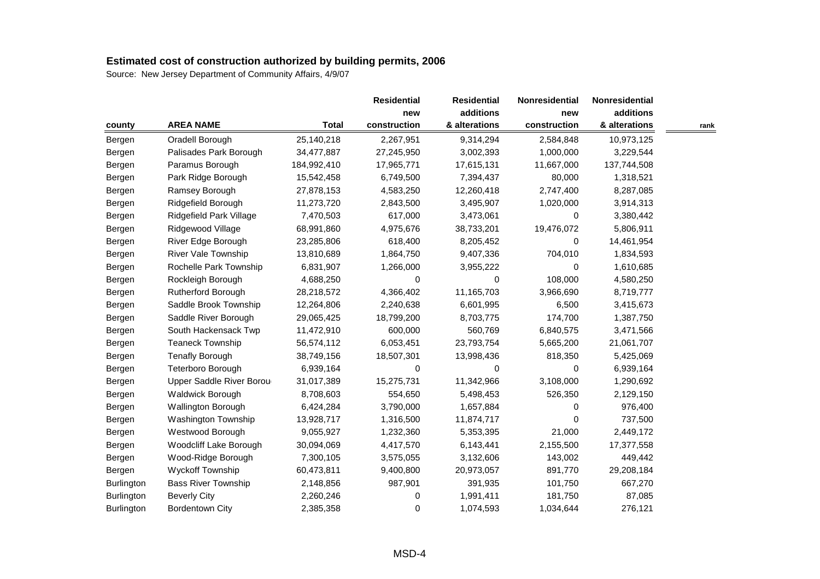|                   |                            |              | <b>Residential</b> | <b>Residential</b> | Nonresidential | Nonresidential |      |
|-------------------|----------------------------|--------------|--------------------|--------------------|----------------|----------------|------|
|                   |                            |              | new                | additions          | new            | additions      |      |
| county            | <b>AREA NAME</b>           | <b>Total</b> | construction       | & alterations      | construction   | & alterations  | rank |
| Bergen            | Oradell Borough            | 25,140,218   | 2,267,951          | 9,314,294          | 2,584,848      | 10,973,125     |      |
| Bergen            | Palisades Park Borough     | 34,477,887   | 27,245,950         | 3,002,393          | 1,000,000      | 3,229,544      |      |
| Bergen            | Paramus Borough            | 184,992,410  | 17,965,771         | 17,615,131         | 11,667,000     | 137,744,508    |      |
| Bergen            | Park Ridge Borough         | 15,542,458   | 6,749,500          | 7,394,437          | 80,000         | 1,318,521      |      |
| Bergen            | Ramsey Borough             | 27,878,153   | 4,583,250          | 12,260,418         | 2,747,400      | 8,287,085      |      |
| Bergen            | Ridgefield Borough         | 11,273,720   | 2,843,500          | 3,495,907          | 1,020,000      | 3,914,313      |      |
| Bergen            | Ridgefield Park Village    | 7,470,503    | 617,000            | 3,473,061          | 0              | 3,380,442      |      |
| Bergen            | Ridgewood Village          | 68,991,860   | 4,975,676          | 38,733,201         | 19,476,072     | 5,806,911      |      |
| Bergen            | River Edge Borough         | 23,285,806   | 618,400            | 8,205,452          | 0              | 14,461,954     |      |
| Bergen            | River Vale Township        | 13,810,689   | 1,864,750          | 9,407,336          | 704,010        | 1,834,593      |      |
| Bergen            | Rochelle Park Township     | 6,831,907    | 1,266,000          | 3,955,222          | 0              | 1,610,685      |      |
| Bergen            | Rockleigh Borough          | 4,688,250    | $\mathbf 0$        | 0                  | 108,000        | 4,580,250      |      |
| Bergen            | Rutherford Borough         | 28,218,572   | 4,366,402          | 11,165,703         | 3,966,690      | 8,719,777      |      |
| Bergen            | Saddle Brook Township      | 12,264,806   | 2,240,638          | 6,601,995          | 6,500          | 3,415,673      |      |
| Bergen            | Saddle River Borough       | 29,065,425   | 18,799,200         | 8,703,775          | 174,700        | 1,387,750      |      |
| Bergen            | South Hackensack Twp       | 11,472,910   | 600,000            | 560,769            | 6,840,575      | 3,471,566      |      |
| Bergen            | <b>Teaneck Township</b>    | 56,574,112   | 6,053,451          | 23,793,754         | 5,665,200      | 21,061,707     |      |
| Bergen            | <b>Tenafly Borough</b>     | 38,749,156   | 18,507,301         | 13,998,436         | 818,350        | 5,425,069      |      |
| Bergen            | Teterboro Borough          | 6,939,164    | 0                  | 0                  | 0              | 6,939,164      |      |
| Bergen            | Upper Saddle River Borou   | 31,017,389   | 15,275,731         | 11,342,966         | 3,108,000      | 1,290,692      |      |
| Bergen            | Waldwick Borough           | 8,708,603    | 554,650            | 5,498,453          | 526,350        | 2,129,150      |      |
| Bergen            | Wallington Borough         | 6,424,284    | 3,790,000          | 1,657,884          | 0              | 976,400        |      |
| Bergen            | Washington Township        | 13,928,717   | 1,316,500          | 11,874,717         | 0              | 737,500        |      |
| Bergen            | Westwood Borough           | 9,055,927    | 1,232,360          | 5,353,395          | 21,000         | 2,449,172      |      |
| Bergen            | Woodcliff Lake Borough     | 30,094,069   | 4,417,570          | 6,143,441          | 2,155,500      | 17,377,558     |      |
| Bergen            | Wood-Ridge Borough         | 7,300,105    | 3,575,055          | 3,132,606          | 143,002        | 449,442        |      |
| Bergen            | <b>Wyckoff Township</b>    | 60,473,811   | 9,400,800          | 20,973,057         | 891,770        | 29,208,184     |      |
| <b>Burlington</b> | <b>Bass River Township</b> | 2,148,856    | 987,901            | 391,935            | 101,750        | 667,270        |      |
| Burlington        | <b>Beverly City</b>        | 2,260,246    | 0                  | 1,991,411          | 181,750        | 87,085         |      |
| <b>Burlington</b> | <b>Bordentown City</b>     | 2,385,358    | 0                  | 1,074,593          | 1,034,644      | 276,121        |      |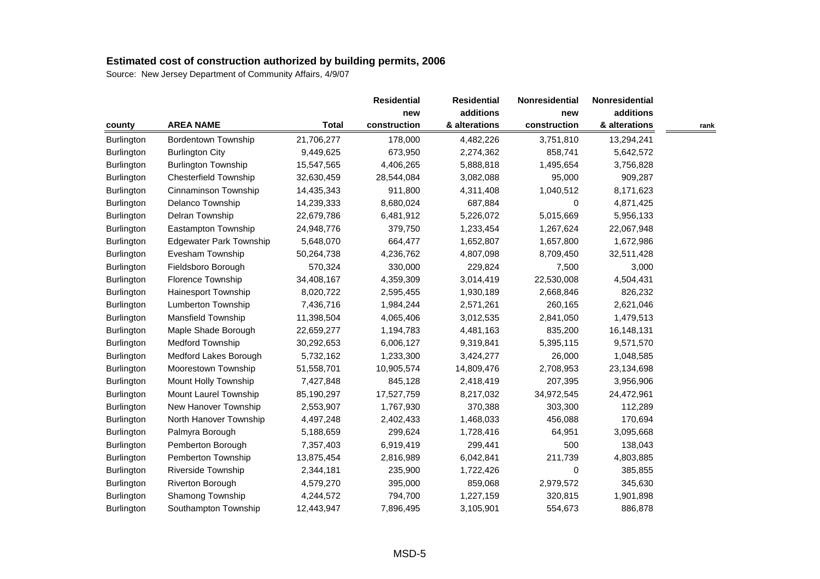|                   |                                |              | <b>Residential</b> | <b>Residential</b> | Nonresidential | Nonresidential |      |
|-------------------|--------------------------------|--------------|--------------------|--------------------|----------------|----------------|------|
|                   |                                |              | new                | additions          | new            | additions      |      |
| county            | <b>AREA NAME</b>               | <b>Total</b> | construction       | & alterations      | construction   | & alterations  | rank |
| Burlington        | <b>Bordentown Township</b>     | 21,706,277   | 178,000            | 4,482,226          | 3,751,810      | 13,294,241     |      |
| Burlington        | <b>Burlington City</b>         | 9,449,625    | 673,950            | 2,274,362          | 858,741        | 5,642,572      |      |
| <b>Burlington</b> | <b>Burlington Township</b>     | 15,547,565   | 4,406,265          | 5,888,818          | 1,495,654      | 3,756,828      |      |
| <b>Burlington</b> | <b>Chesterfield Township</b>   | 32,630,459   | 28,544,084         | 3,082,088          | 95,000         | 909,287        |      |
| Burlington        | Cinnaminson Township           | 14,435,343   | 911,800            | 4,311,408          | 1,040,512      | 8,171,623      |      |
| <b>Burlington</b> | Delanco Township               | 14,239,333   | 8,680,024          | 687,884            | $\mathbf 0$    | 4,871,425      |      |
| Burlington        | Delran Township                | 22,679,786   | 6,481,912          | 5,226,072          | 5,015,669      | 5,956,133      |      |
| <b>Burlington</b> | Eastampton Township            | 24,948,776   | 379,750            | 1,233,454          | 1,267,624      | 22,067,948     |      |
| Burlington        | <b>Edgewater Park Township</b> | 5,648,070    | 664,477            | 1,652,807          | 1,657,800      | 1,672,986      |      |
| <b>Burlington</b> | Evesham Township               | 50,264,738   | 4,236,762          | 4,807,098          | 8,709,450      | 32,511,428     |      |
| Burlington        | Fieldsboro Borough             | 570,324      | 330,000            | 229,824            | 7,500          | 3,000          |      |
| <b>Burlington</b> | Florence Township              | 34,408,167   | 4,359,309          | 3,014,419          | 22,530,008     | 4,504,431      |      |
| Burlington        | Hainesport Township            | 8,020,722    | 2,595,455          | 1,930,189          | 2,668,846      | 826,232        |      |
| Burlington        | Lumberton Township             | 7,436,716    | 1,984,244          | 2,571,261          | 260,165        | 2,621,046      |      |
| <b>Burlington</b> | Mansfield Township             | 11,398,504   | 4,065,406          | 3,012,535          | 2,841,050      | 1,479,513      |      |
| <b>Burlington</b> | Maple Shade Borough            | 22,659,277   | 1,194,783          | 4,481,163          | 835,200        | 16,148,131     |      |
| <b>Burlington</b> | <b>Medford Township</b>        | 30,292,653   | 6,006,127          | 9,319,841          | 5,395,115      | 9,571,570      |      |
| Burlington        | Medford Lakes Borough          | 5,732,162    | 1,233,300          | 3,424,277          | 26,000         | 1,048,585      |      |
| Burlington        | Moorestown Township            | 51,558,701   | 10,905,574         | 14,809,476         | 2,708,953      | 23,134,698     |      |
| <b>Burlington</b> | Mount Holly Township           | 7,427,848    | 845,128            | 2,418,419          | 207,395        | 3,956,906      |      |
| Burlington        | Mount Laurel Township          | 85,190,297   | 17,527,759         | 8,217,032          | 34,972,545     | 24,472,961     |      |
| Burlington        | New Hanover Township           | 2,553,907    | 1,767,930          | 370,388            | 303,300        | 112,289        |      |
| Burlington        | North Hanover Township         | 4,497,248    | 2,402,433          | 1,468,033          | 456,088        | 170,694        |      |
| Burlington        | Palmyra Borough                | 5,188,659    | 299,624            | 1,728,416          | 64,951         | 3,095,668      |      |
| Burlington        | Pemberton Borough              | 7,357,403    | 6,919,419          | 299,441            | 500            | 138,043        |      |
| Burlington        | Pemberton Township             | 13,875,454   | 2,816,989          | 6,042,841          | 211,739        | 4,803,885      |      |
| Burlington        | <b>Riverside Township</b>      | 2,344,181    | 235,900            | 1,722,426          | 0              | 385,855        |      |
| <b>Burlington</b> | Riverton Borough               | 4,579,270    | 395,000            | 859,068            | 2,979,572      | 345,630        |      |
| Burlington        | Shamong Township               | 4,244,572    | 794,700            | 1,227,159          | 320,815        | 1,901,898      |      |
| Burlington        | Southampton Township           | 12,443,947   | 7,896,495          | 3,105,901          | 554,673        | 886,878        |      |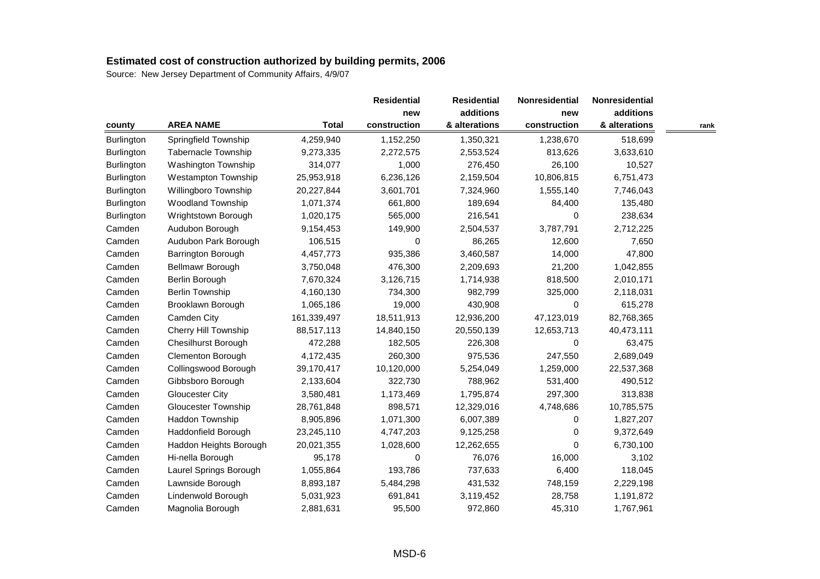|            |                            |              | <b>Residential</b> | <b>Residential</b> | Nonresidential | <b>Nonresidential</b> |      |
|------------|----------------------------|--------------|--------------------|--------------------|----------------|-----------------------|------|
|            |                            |              | new                | additions          | new            | additions             |      |
| county     | <b>AREA NAME</b>           | <b>Total</b> | construction       | & alterations      | construction   | & alterations         | rank |
| Burlington | Springfield Township       | 4,259,940    | 1,152,250          | 1,350,321          | 1,238,670      | 518,699               |      |
| Burlington | Tabernacle Township        | 9,273,335    | 2,272,575          | 2,553,524          | 813,626        | 3,633,610             |      |
| Burlington | Washington Township        | 314,077      | 1,000              | 276,450            | 26,100         | 10,527                |      |
| Burlington | <b>Westampton Township</b> | 25,953,918   | 6,236,126          | 2,159,504          | 10,806,815     | 6,751,473             |      |
| Burlington | Willingboro Township       | 20,227,844   | 3,601,701          | 7,324,960          | 1,555,140      | 7,746,043             |      |
| Burlington | <b>Woodland Township</b>   | 1,071,374    | 661,800            | 189,694            | 84,400         | 135,480               |      |
| Burlington | Wrightstown Borough        | 1,020,175    | 565,000            | 216,541            | 0              | 238,634               |      |
| Camden     | Audubon Borough            | 9,154,453    | 149,900            | 2,504,537          | 3,787,791      | 2,712,225             |      |
| Camden     | Audubon Park Borough       | 106,515      | 0                  | 86,265             | 12,600         | 7,650                 |      |
| Camden     | <b>Barrington Borough</b>  | 4,457,773    | 935,386            | 3,460,587          | 14,000         | 47,800                |      |
| Camden     | Bellmawr Borough           | 3,750,048    | 476,300            | 2,209,693          | 21,200         | 1,042,855             |      |
| Camden     | Berlin Borough             | 7,670,324    | 3,126,715          | 1,714,938          | 818,500        | 2,010,171             |      |
| Camden     | <b>Berlin Township</b>     | 4,160,130    | 734,300            | 982,799            | 325,000        | 2,118,031             |      |
| Camden     | Brooklawn Borough          | 1,065,186    | 19,000             | 430,908            | 0              | 615,278               |      |
| Camden     | Camden City                | 161,339,497  | 18,511,913         | 12,936,200         | 47,123,019     | 82,768,365            |      |
| Camden     | Cherry Hill Township       | 88,517,113   | 14,840,150         | 20,550,139         | 12,653,713     | 40,473,111            |      |
| Camden     | <b>Chesilhurst Borough</b> | 472,288      | 182,505            | 226,308            | 0              | 63,475                |      |
| Camden     | Clementon Borough          | 4,172,435    | 260,300            | 975,536            | 247,550        | 2,689,049             |      |
| Camden     | Collingswood Borough       | 39,170,417   | 10,120,000         | 5,254,049          | 1,259,000      | 22,537,368            |      |
| Camden     | Gibbsboro Borough          | 2,133,604    | 322,730            | 788,962            | 531,400        | 490,512               |      |
| Camden     | <b>Gloucester City</b>     | 3,580,481    | 1,173,469          | 1,795,874          | 297,300        | 313,838               |      |
| Camden     | <b>Gloucester Township</b> | 28,761,848   | 898,571            | 12,329,016         | 4,748,686      | 10,785,575            |      |
| Camden     | Haddon Township            | 8,905,896    | 1,071,300          | 6,007,389          | 0              | 1,827,207             |      |
| Camden     | Haddonfield Borough        | 23,245,110   | 4,747,203          | 9,125,258          | 0              | 9,372,649             |      |
| Camden     | Haddon Heights Borough     | 20,021,355   | 1,028,600          | 12,262,655         | 0              | 6,730,100             |      |
| Camden     | Hi-nella Borough           | 95,178       | 0                  | 76,076             | 16,000         | 3,102                 |      |
| Camden     | Laurel Springs Borough     | 1,055,864    | 193,786            | 737,633            | 6,400          | 118,045               |      |
| Camden     | Lawnside Borough           | 8,893,187    | 5,484,298          | 431,532            | 748,159        | 2,229,198             |      |
| Camden     | Lindenwold Borough         | 5,031,923    | 691,841            | 3,119,452          | 28,758         | 1,191,872             |      |
| Camden     | Magnolia Borough           | 2,881,631    | 95,500             | 972,860            | 45,310         | 1,767,961             |      |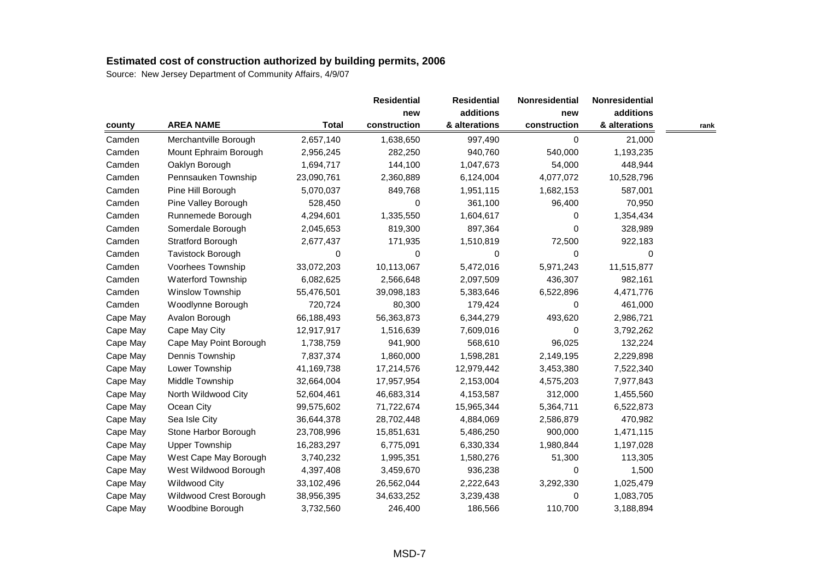|          |                           |              | <b>Residential</b> | <b>Residential</b> | Nonresidential | Nonresidential |      |
|----------|---------------------------|--------------|--------------------|--------------------|----------------|----------------|------|
|          |                           |              | new                | additions          | new            | additions      |      |
| county   | <b>AREA NAME</b>          | <b>Total</b> | construction       | & alterations      | construction   | & alterations  | rank |
| Camden   | Merchantville Borough     | 2,657,140    | 1,638,650          | 997,490            | 0              | 21,000         |      |
| Camden   | Mount Ephraim Borough     | 2,956,245    | 282,250            | 940,760            | 540,000        | 1,193,235      |      |
| Camden   | Oaklyn Borough            | 1,694,717    | 144,100            | 1,047,673          | 54,000         | 448,944        |      |
| Camden   | Pennsauken Township       | 23,090,761   | 2,360,889          | 6,124,004          | 4,077,072      | 10,528,796     |      |
| Camden   | Pine Hill Borough         | 5,070,037    | 849,768            | 1,951,115          | 1,682,153      | 587,001        |      |
| Camden   | Pine Valley Borough       | 528,450      | 0                  | 361,100            | 96,400         | 70,950         |      |
| Camden   | Runnemede Borough         | 4,294,601    | 1,335,550          | 1,604,617          | 0              | 1,354,434      |      |
| Camden   | Somerdale Borough         | 2,045,653    | 819,300            | 897,364            | 0              | 328,989        |      |
| Camden   | Stratford Borough         | 2,677,437    | 171,935            | 1,510,819          | 72,500         | 922,183        |      |
| Camden   | Tavistock Borough         | 0            | 0                  | 0                  | 0              | 0              |      |
| Camden   | Voorhees Township         | 33,072,203   | 10,113,067         | 5,472,016          | 5,971,243      | 11,515,877     |      |
| Camden   | <b>Waterford Township</b> | 6,082,625    | 2,566,648          | 2,097,509          | 436,307        | 982,161        |      |
| Camden   | Winslow Township          | 55,476,501   | 39,098,183         | 5,383,646          | 6,522,896      | 4,471,776      |      |
| Camden   | Woodlynne Borough         | 720,724      | 80,300             | 179,424            | 0              | 461,000        |      |
| Cape May | Avalon Borough            | 66,188,493   | 56,363,873         | 6,344,279          | 493,620        | 2,986,721      |      |
| Cape May | Cape May City             | 12,917,917   | 1,516,639          | 7,609,016          | 0              | 3,792,262      |      |
| Cape May | Cape May Point Borough    | 1,738,759    | 941,900            | 568,610            | 96,025         | 132,224        |      |
| Cape May | Dennis Township           | 7,837,374    | 1,860,000          | 1,598,281          | 2,149,195      | 2,229,898      |      |
| Cape May | Lower Township            | 41,169,738   | 17,214,576         | 12,979,442         | 3,453,380      | 7,522,340      |      |
| Cape May | Middle Township           | 32,664,004   | 17,957,954         | 2,153,004          | 4,575,203      | 7,977,843      |      |
| Cape May | North Wildwood City       | 52,604,461   | 46,683,314         | 4,153,587          | 312,000        | 1,455,560      |      |
| Cape May | Ocean City                | 99,575,602   | 71,722,674         | 15,965,344         | 5,364,711      | 6,522,873      |      |
| Cape May | Sea Isle City             | 36,644,378   | 28,702,448         | 4,884,069          | 2,586,879      | 470,982        |      |
| Cape May | Stone Harbor Borough      | 23,708,996   | 15,851,631         | 5,486,250          | 900,000        | 1,471,115      |      |
| Cape May | <b>Upper Township</b>     | 16,283,297   | 6,775,091          | 6,330,334          | 1,980,844      | 1,197,028      |      |
| Cape May | West Cape May Borough     | 3,740,232    | 1,995,351          | 1,580,276          | 51,300         | 113,305        |      |
| Cape May | West Wildwood Borough     | 4,397,408    | 3,459,670          | 936,238            | 0              | 1,500          |      |
| Cape May | <b>Wildwood City</b>      | 33,102,496   | 26,562,044         | 2,222,643          | 3,292,330      | 1,025,479      |      |
| Cape May | Wildwood Crest Borough    | 38,956,395   | 34,633,252         | 3,239,438          | 0              | 1,083,705      |      |
| Cape May | Woodbine Borough          | 3,732,560    | 246,400            | 186,566            | 110,700        | 3,188,894      |      |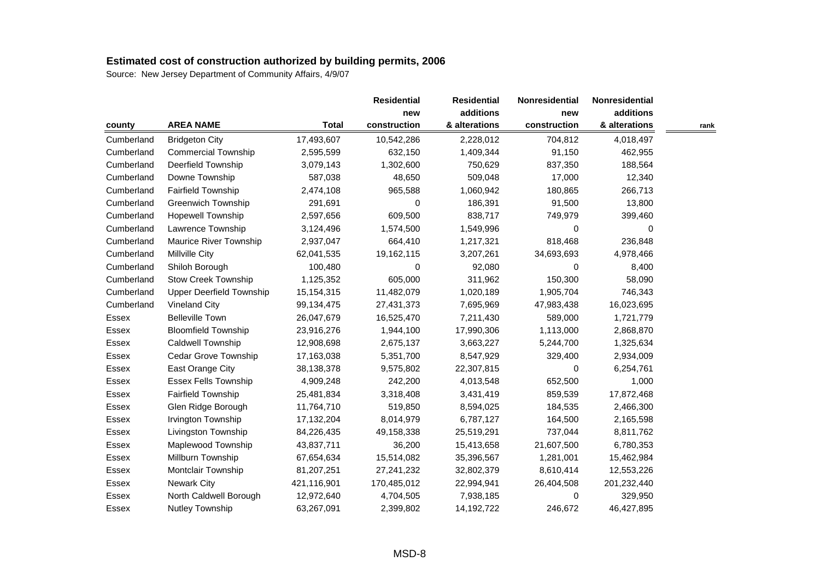|            |                                 |              | <b>Residential</b> | <b>Residential</b> | Nonresidential | Nonresidential |      |
|------------|---------------------------------|--------------|--------------------|--------------------|----------------|----------------|------|
|            |                                 |              | new                | additions          | new            | additions      |      |
| county     | <b>AREA NAME</b>                | <b>Total</b> | construction       | & alterations      | construction   | & alterations  | rank |
| Cumberland | <b>Bridgeton City</b>           | 17,493,607   | 10,542,286         | 2,228,012          | 704,812        | 4,018,497      |      |
| Cumberland | <b>Commercial Township</b>      | 2,595,599    | 632,150            | 1,409,344          | 91,150         | 462,955        |      |
| Cumberland | Deerfield Township              | 3,079,143    | 1,302,600          | 750,629            | 837,350        | 188,564        |      |
| Cumberland | Downe Township                  | 587,038      | 48,650             | 509,048            | 17,000         | 12,340         |      |
| Cumberland | Fairfield Township              | 2,474,108    | 965,588            | 1,060,942          | 180,865        | 266,713        |      |
| Cumberland | <b>Greenwich Township</b>       | 291,691      | 0                  | 186,391            | 91,500         | 13,800         |      |
| Cumberland | <b>Hopewell Township</b>        | 2,597,656    | 609,500            | 838,717            | 749,979        | 399,460        |      |
| Cumberland | Lawrence Township               | 3,124,496    | 1,574,500          | 1,549,996          | 0              | 0              |      |
| Cumberland | Maurice River Township          | 2,937,047    | 664,410            | 1,217,321          | 818,468        | 236,848        |      |
| Cumberland | <b>Millville City</b>           | 62,041,535   | 19,162,115         | 3,207,261          | 34,693,693     | 4,978,466      |      |
| Cumberland | Shiloh Borough                  | 100,480      | 0                  | 92,080             | 0              | 8,400          |      |
| Cumberland | <b>Stow Creek Township</b>      | 1,125,352    | 605,000            | 311,962            | 150,300        | 58,090         |      |
| Cumberland | <b>Upper Deerfield Township</b> | 15, 154, 315 | 11,482,079         | 1,020,189          | 1,905,704      | 746,343        |      |
| Cumberland | <b>Vineland City</b>            | 99,134,475   | 27,431,373         | 7,695,969          | 47,983,438     | 16,023,695     |      |
| Essex      | <b>Belleville Town</b>          | 26,047,679   | 16,525,470         | 7,211,430          | 589,000        | 1,721,779      |      |
| Essex      | <b>Bloomfield Township</b>      | 23,916,276   | 1,944,100          | 17,990,306         | 1,113,000      | 2,868,870      |      |
| Essex      | Caldwell Township               | 12,908,698   | 2,675,137          | 3,663,227          | 5,244,700      | 1,325,634      |      |
| Essex      | Cedar Grove Township            | 17,163,038   | 5,351,700          | 8,547,929          | 329,400        | 2,934,009      |      |
| Essex      | East Orange City                | 38,138,378   | 9,575,802          | 22,307,815         | 0              | 6,254,761      |      |
| Essex      | <b>Essex Fells Township</b>     | 4,909,248    | 242,200            | 4,013,548          | 652,500        | 1,000          |      |
| Essex      | <b>Fairfield Township</b>       | 25,481,834   | 3,318,408          | 3,431,419          | 859,539        | 17,872,468     |      |
| Essex      | Glen Ridge Borough              | 11,764,710   | 519,850            | 8,594,025          | 184,535        | 2,466,300      |      |
| Essex      | Irvington Township              | 17,132,204   | 8,014,979          | 6,787,127          | 164,500        | 2,165,598      |      |
| Essex      | Livingston Township             | 84,226,435   | 49,158,338         | 25,519,291         | 737,044        | 8,811,762      |      |
| Essex      | Maplewood Township              | 43,837,711   | 36,200             | 15,413,658         | 21,607,500     | 6,780,353      |      |
| Essex      | Millburn Township               | 67,654,634   | 15,514,082         | 35,396,567         | 1,281,001      | 15,462,984     |      |
| Essex      | Montclair Township              | 81,207,251   | 27,241,232         | 32,802,379         | 8,610,414      | 12,553,226     |      |
| Essex      | <b>Newark City</b>              | 421,116,901  | 170,485,012        | 22,994,941         | 26,404,508     | 201,232,440    |      |
| Essex      | North Caldwell Borough          | 12,972,640   | 4,704,505          | 7,938,185          | 0              | 329,950        |      |
| Essex      | Nutley Township                 | 63,267,091   | 2,399,802          | 14,192,722         | 246,672        | 46,427,895     |      |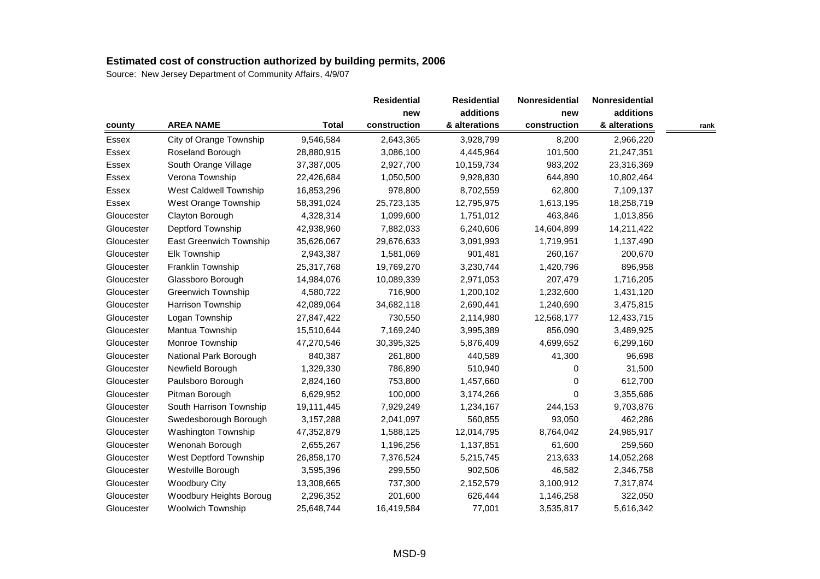|            |                           |              | <b>Residential</b> | <b>Residential</b> | <b>Nonresidential</b> | <b>Nonresidential</b> |      |
|------------|---------------------------|--------------|--------------------|--------------------|-----------------------|-----------------------|------|
|            |                           |              | new                | additions          | new                   | additions             |      |
| county     | <b>AREA NAME</b>          | <b>Total</b> | construction       | & alterations      | construction          | & alterations         | rank |
| Essex      | City of Orange Township   | 9,546,584    | 2,643,365          | 3,928,799          | 8,200                 | 2,966,220             |      |
| Essex      | Roseland Borough          | 28,880,915   | 3,086,100          | 4,445,964          | 101,500               | 21,247,351            |      |
| Essex      | South Orange Village      | 37,387,005   | 2,927,700          | 10,159,734         | 983,202               | 23,316,369            |      |
| Essex      | Verona Township           | 22,426,684   | 1,050,500          | 9,928,830          | 644,890               | 10,802,464            |      |
| Essex      | West Caldwell Township    | 16,853,296   | 978,800            | 8,702,559          | 62,800                | 7,109,137             |      |
| Essex      | West Orange Township      | 58,391,024   | 25,723,135         | 12,795,975         | 1,613,195             | 18,258,719            |      |
| Gloucester | Clayton Borough           | 4,328,314    | 1,099,600          | 1,751,012          | 463,846               | 1,013,856             |      |
| Gloucester | Deptford Township         | 42,938,960   | 7,882,033          | 6,240,606          | 14,604,899            | 14,211,422            |      |
| Gloucester | East Greenwich Township   | 35,626,067   | 29,676,633         | 3,091,993          | 1,719,951             | 1,137,490             |      |
| Gloucester | <b>Elk Township</b>       | 2,943,387    | 1,581,069          | 901,481            | 260,167               | 200,670               |      |
| Gloucester | Franklin Township         | 25,317,768   | 19,769,270         | 3,230,744          | 1,420,796             | 896,958               |      |
| Gloucester | Glassboro Borough         | 14,984,076   | 10,089,339         | 2,971,053          | 207,479               | 1,716,205             |      |
| Gloucester | <b>Greenwich Township</b> | 4,580,722    | 716,900            | 1,200,102          | 1,232,600             | 1,431,120             |      |
| Gloucester | Harrison Township         | 42,089,064   | 34,682,118         | 2,690,441          | 1,240,690             | 3,475,815             |      |
| Gloucester | Logan Township            | 27,847,422   | 730,550            | 2,114,980          | 12,568,177            | 12,433,715            |      |
| Gloucester | Mantua Township           | 15,510,644   | 7,169,240          | 3,995,389          | 856,090               | 3,489,925             |      |
| Gloucester | Monroe Township           | 47,270,546   | 30,395,325         | 5,876,409          | 4,699,652             | 6,299,160             |      |
| Gloucester | National Park Borough     | 840,387      | 261,800            | 440,589            | 41,300                | 96,698                |      |
| Gloucester | Newfield Borough          | 1,329,330    | 786,890            | 510,940            | 0                     | 31,500                |      |
| Gloucester | Paulsboro Borough         | 2,824,160    | 753,800            | 1,457,660          | $\Omega$              | 612,700               |      |
| Gloucester | Pitman Borough            | 6,629,952    | 100,000            | 3,174,266          | $\Omega$              | 3,355,686             |      |
| Gloucester | South Harrison Township   | 19,111,445   | 7,929,249          | 1,234,167          | 244,153               | 9,703,876             |      |
| Gloucester | Swedesborough Borough     | 3,157,288    | 2,041,097          | 560,855            | 93,050                | 462,286               |      |
| Gloucester | Washington Township       | 47,352,879   | 1,588,125          | 12,014,795         | 8,764,042             | 24,985,917            |      |
| Gloucester | Wenonah Borough           | 2,655,267    | 1,196,256          | 1,137,851          | 61,600                | 259,560               |      |
| Gloucester | West Deptford Township    | 26,858,170   | 7,376,524          | 5,215,745          | 213,633               | 14,052,268            |      |
| Gloucester | Westville Borough         | 3,595,396    | 299,550            | 902,506            | 46,582                | 2,346,758             |      |
| Gloucester | <b>Woodbury City</b>      | 13,308,665   | 737,300            | 2,152,579          | 3,100,912             | 7,317,874             |      |
| Gloucester | Woodbury Heights Boroug   | 2,296,352    | 201,600            | 626,444            | 1,146,258             | 322,050               |      |
| Gloucester | <b>Woolwich Township</b>  | 25,648,744   | 16,419,584         | 77,001             | 3,535,817             | 5,616,342             |      |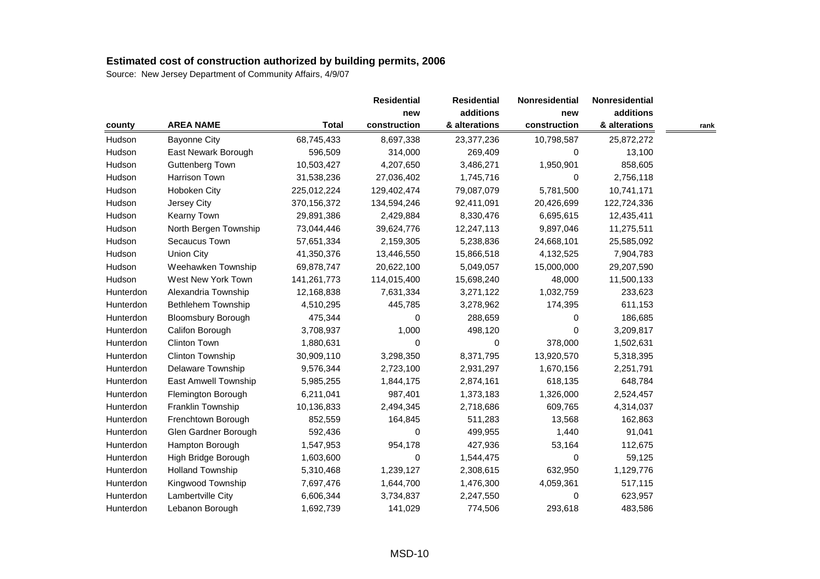|           |                           |               | <b>Residential</b> | <b>Residential</b> | Nonresidential | Nonresidential |      |
|-----------|---------------------------|---------------|--------------------|--------------------|----------------|----------------|------|
|           |                           |               | new                | additions          | new            | additions      |      |
| county    | <b>AREA NAME</b>          | <b>Total</b>  | construction       | & alterations      | construction   | & alterations  | rank |
| Hudson    | <b>Bayonne City</b>       | 68,745,433    | 8,697,338          | 23,377,236         | 10,798,587     | 25,872,272     |      |
| Hudson    | East Newark Borough       | 596,509       | 314,000            | 269,409            | 0              | 13,100         |      |
| Hudson    | Guttenberg Town           | 10,503,427    | 4,207,650          | 3,486,271          | 1,950,901      | 858,605        |      |
| Hudson    | Harrison Town             | 31,538,236    | 27,036,402         | 1,745,716          | 0              | 2,756,118      |      |
| Hudson    | Hoboken City              | 225,012,224   | 129,402,474        | 79,087,079         | 5,781,500      | 10,741,171     |      |
| Hudson    | Jersey City               | 370, 156, 372 | 134,594,246        | 92,411,091         | 20,426,699     | 122,724,336    |      |
| Hudson    | Kearny Town               | 29,891,386    | 2,429,884          | 8,330,476          | 6,695,615      | 12,435,411     |      |
| Hudson    | North Bergen Township     | 73,044,446    | 39,624,776         | 12,247,113         | 9,897,046      | 11,275,511     |      |
| Hudson    | Secaucus Town             | 57,651,334    | 2,159,305          | 5,238,836          | 24,668,101     | 25,585,092     |      |
| Hudson    | <b>Union City</b>         | 41,350,376    | 13,446,550         | 15,866,518         | 4,132,525      | 7,904,783      |      |
| Hudson    | Weehawken Township        | 69,878,747    | 20,622,100         | 5,049,057          | 15,000,000     | 29,207,590     |      |
| Hudson    | West New York Town        | 141,261,773   | 114,015,400        | 15,698,240         | 48,000         | 11,500,133     |      |
| Hunterdon | Alexandria Township       | 12,168,838    | 7,631,334          | 3,271,122          | 1,032,759      | 233,623        |      |
| Hunterdon | Bethlehem Township        | 4,510,295     | 445,785            | 3,278,962          | 174,395        | 611,153        |      |
| Hunterdon | <b>Bloomsbury Borough</b> | 475,344       | 0                  | 288,659            | 0              | 186,685        |      |
| Hunterdon | Califon Borough           | 3,708,937     | 1,000              | 498,120            | 0              | 3,209,817      |      |
| Hunterdon | Clinton Town              | 1,880,631     | 0                  | 0                  | 378,000        | 1,502,631      |      |
| Hunterdon | Clinton Township          | 30,909,110    | 3,298,350          | 8,371,795          | 13,920,570     | 5,318,395      |      |
| Hunterdon | Delaware Township         | 9,576,344     | 2,723,100          | 2,931,297          | 1,670,156      | 2,251,791      |      |
| Hunterdon | East Amwell Township      | 5,985,255     | 1,844,175          | 2,874,161          | 618,135        | 648,784        |      |
| Hunterdon | Flemington Borough        | 6,211,041     | 987,401            | 1,373,183          | 1,326,000      | 2,524,457      |      |
| Hunterdon | Franklin Township         | 10,136,833    | 2,494,345          | 2,718,686          | 609,765        | 4,314,037      |      |
| Hunterdon | Frenchtown Borough        | 852,559       | 164,845            | 511,283            | 13,568         | 162,863        |      |
| Hunterdon | Glen Gardner Borough      | 592,436       | 0                  | 499,955            | 1,440          | 91,041         |      |
| Hunterdon | Hampton Borough           | 1,547,953     | 954,178            | 427,936            | 53,164         | 112,675        |      |
| Hunterdon | High Bridge Borough       | 1,603,600     | 0                  | 1,544,475          | 0              | 59,125         |      |
| Hunterdon | <b>Holland Township</b>   | 5,310,468     | 1,239,127          | 2,308,615          | 632,950        | 1,129,776      |      |
| Hunterdon | Kingwood Township         | 7,697,476     | 1,644,700          | 1,476,300          | 4,059,361      | 517,115        |      |
| Hunterdon | Lambertville City         | 6,606,344     | 3,734,837          | 2,247,550          | 0              | 623,957        |      |
| Hunterdon | Lebanon Borough           | 1,692,739     | 141,029            | 774,506            | 293,618        | 483,586        |      |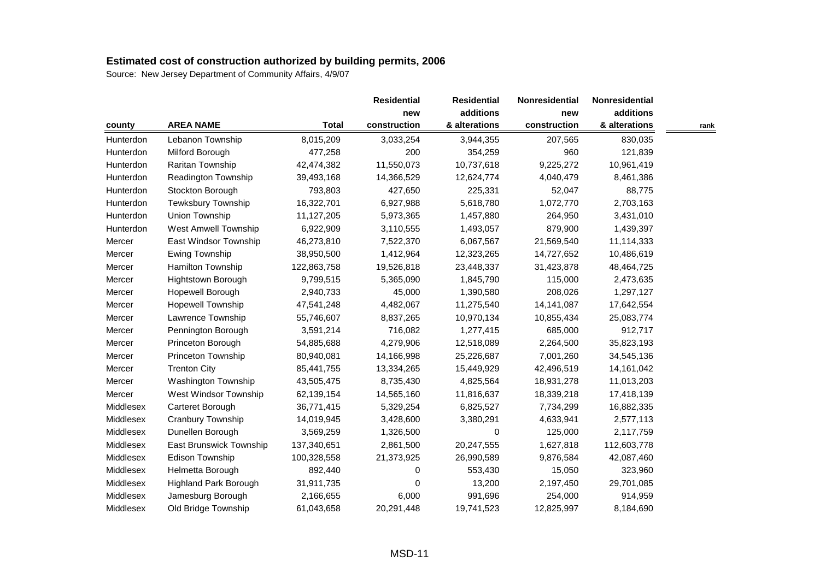|           |                             |              | <b>Residential</b> | <b>Residential</b> | Nonresidential | Nonresidential |      |
|-----------|-----------------------------|--------------|--------------------|--------------------|----------------|----------------|------|
|           |                             |              | new                | additions          | new            | additions      |      |
| county    | <b>AREA NAME</b>            | <b>Total</b> | construction       | & alterations      | construction   | & alterations  | rank |
| Hunterdon | Lebanon Township            | 8,015,209    | 3,033,254          | 3,944,355          | 207,565        | 830,035        |      |
| Hunterdon | Milford Borough             | 477,258      | 200                | 354,259            | 960            | 121,839        |      |
| Hunterdon | Raritan Township            | 42,474,382   | 11,550,073         | 10,737,618         | 9,225,272      | 10,961,419     |      |
| Hunterdon | Readington Township         | 39,493,168   | 14,366,529         | 12,624,774         | 4,040,479      | 8,461,386      |      |
| Hunterdon | Stockton Borough            | 793,803      | 427,650            | 225,331            | 52,047         | 88,775         |      |
| Hunterdon | Tewksbury Township          | 16,322,701   | 6,927,988          | 5,618,780          | 1,072,770      | 2,703,163      |      |
| Hunterdon | Union Township              | 11,127,205   | 5,973,365          | 1,457,880          | 264,950        | 3,431,010      |      |
| Hunterdon | <b>West Amwell Township</b> | 6,922,909    | 3,110,555          | 1,493,057          | 879,900        | 1,439,397      |      |
| Mercer    | East Windsor Township       | 46,273,810   | 7,522,370          | 6,067,567          | 21,569,540     | 11,114,333     |      |
| Mercer    | Ewing Township              | 38,950,500   | 1,412,964          | 12,323,265         | 14,727,652     | 10,486,619     |      |
| Mercer    | Hamilton Township           | 122,863,758  | 19,526,818         | 23,448,337         | 31,423,878     | 48,464,725     |      |
| Mercer    | Hightstown Borough          | 9,799,515    | 5,365,090          | 1,845,790          | 115,000        | 2,473,635      |      |
| Mercer    | Hopewell Borough            | 2,940,733    | 45,000             | 1,390,580          | 208,026        | 1,297,127      |      |
| Mercer    | <b>Hopewell Township</b>    | 47,541,248   | 4,482,067          | 11,275,540         | 14,141,087     | 17,642,554     |      |
| Mercer    | Lawrence Township           | 55,746,607   | 8,837,265          | 10,970,134         | 10,855,434     | 25,083,774     |      |
| Mercer    | Pennington Borough          | 3,591,214    | 716,082            | 1,277,415          | 685,000        | 912,717        |      |
| Mercer    | Princeton Borough           | 54,885,688   | 4,279,906          | 12,518,089         | 2,264,500      | 35,823,193     |      |
| Mercer    | Princeton Township          | 80,940,081   | 14,166,998         | 25,226,687         | 7,001,260      | 34,545,136     |      |
| Mercer    | <b>Trenton City</b>         | 85,441,755   | 13,334,265         | 15,449,929         | 42,496,519     | 14,161,042     |      |
| Mercer    | Washington Township         | 43,505,475   | 8,735,430          | 4,825,564          | 18,931,278     | 11,013,203     |      |
| Mercer    | West Windsor Township       | 62,139,154   | 14,565,160         | 11,816,637         | 18,339,218     | 17,418,139     |      |
| Middlesex | Carteret Borough            | 36,771,415   | 5,329,254          | 6,825,527          | 7,734,299      | 16,882,335     |      |
| Middlesex | Cranbury Township           | 14,019,945   | 3,428,600          | 3,380,291          | 4,633,941      | 2,577,113      |      |
| Middlesex | Dunellen Borough            | 3,569,259    | 1,326,500          | 0                  | 125,000        | 2,117,759      |      |
| Middlesex | East Brunswick Township     | 137,340,651  | 2,861,500          | 20,247,555         | 1,627,818      | 112,603,778    |      |
| Middlesex | Edison Township             | 100,328,558  | 21,373,925         | 26,990,589         | 9,876,584      | 42,087,460     |      |
| Middlesex | Helmetta Borough            | 892,440      | 0                  | 553,430            | 15,050         | 323,960        |      |
| Middlesex | Highland Park Borough       | 31,911,735   | 0                  | 13,200             | 2,197,450      | 29,701,085     |      |
| Middlesex | Jamesburg Borough           | 2,166,655    | 6,000              | 991,696            | 254,000        | 914,959        |      |
| Middlesex | Old Bridge Township         | 61,043,658   | 20,291,448         | 19,741,523         | 12,825,997     | 8,184,690      |      |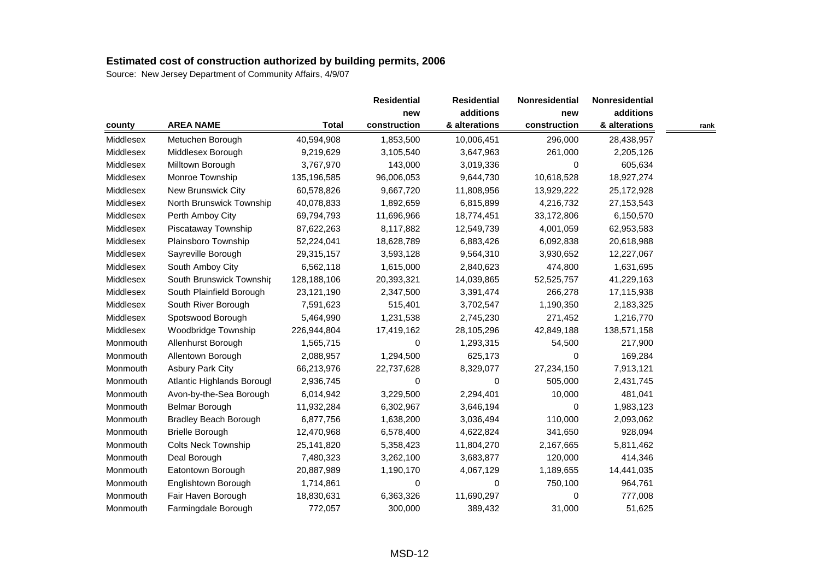|           |                              |              | <b>Residential</b> | <b>Residential</b> | Nonresidential | <b>Nonresidential</b> |      |
|-----------|------------------------------|--------------|--------------------|--------------------|----------------|-----------------------|------|
|           |                              |              | new                | additions          | new            | additions             |      |
| county    | <b>AREA NAME</b>             | <b>Total</b> | construction       | & alterations      | construction   | & alterations         | rank |
| Middlesex | Metuchen Borough             | 40,594,908   | 1,853,500          | 10,006,451         | 296,000        | 28,438,957            |      |
| Middlesex | Middlesex Borough            | 9,219,629    | 3,105,540          | 3,647,963          | 261,000        | 2,205,126             |      |
| Middlesex | Milltown Borough             | 3,767,970    | 143,000            | 3,019,336          | 0              | 605,634               |      |
| Middlesex | Monroe Township              | 135,196,585  | 96,006,053         | 9,644,730          | 10,618,528     | 18,927,274            |      |
| Middlesex | New Brunswick City           | 60,578,826   | 9,667,720          | 11,808,956         | 13,929,222     | 25,172,928            |      |
| Middlesex | North Brunswick Township     | 40,078,833   | 1,892,659          | 6,815,899          | 4,216,732      | 27, 153, 543          |      |
| Middlesex | Perth Amboy City             | 69,794,793   | 11,696,966         | 18,774,451         | 33,172,806     | 6,150,570             |      |
| Middlesex | Piscataway Township          | 87,622,263   | 8,117,882          | 12,549,739         | 4,001,059      | 62,953,583            |      |
| Middlesex | Plainsboro Township          | 52,224,041   | 18,628,789         | 6,883,426          | 6,092,838      | 20,618,988            |      |
| Middlesex | Sayreville Borough           | 29,315,157   | 3,593,128          | 9,564,310          | 3,930,652      | 12,227,067            |      |
| Middlesex | South Amboy City             | 6,562,118    | 1,615,000          | 2,840,623          | 474,800        | 1,631,695             |      |
| Middlesex | South Brunswick Township     | 128,188,106  | 20,393,321         | 14,039,865         | 52,525,757     | 41,229,163            |      |
| Middlesex | South Plainfield Borough     | 23,121,190   | 2,347,500          | 3,391,474          | 266,278        | 17,115,938            |      |
| Middlesex | South River Borough          | 7,591,623    | 515,401            | 3,702,547          | 1,190,350      | 2,183,325             |      |
| Middlesex | Spotswood Borough            | 5,464,990    | 1,231,538          | 2,745,230          | 271,452        | 1,216,770             |      |
| Middlesex | Woodbridge Township          | 226,944,804  | 17,419,162         | 28,105,296         | 42,849,188     | 138,571,158           |      |
| Monmouth  | Allenhurst Borough           | 1,565,715    | 0                  | 1,293,315          | 54,500         | 217,900               |      |
| Monmouth  | Allentown Borough            | 2,088,957    | 1,294,500          | 625,173            | $\Omega$       | 169,284               |      |
| Monmouth  | <b>Asbury Park City</b>      | 66,213,976   | 22,737,628         | 8,329,077          | 27,234,150     | 7,913,121             |      |
| Monmouth  | Atlantic Highlands Borougl   | 2,936,745    | 0                  | $\Omega$           | 505,000        | 2,431,745             |      |
| Monmouth  | Avon-by-the-Sea Borough      | 6,014,942    | 3,229,500          | 2,294,401          | 10,000         | 481,041               |      |
| Monmouth  | Belmar Borough               | 11,932,284   | 6,302,967          | 3,646,194          | 0              | 1,983,123             |      |
| Monmouth  | <b>Bradley Beach Borough</b> | 6,877,756    | 1,638,200          | 3,036,494          | 110,000        | 2,093,062             |      |
| Monmouth  | <b>Brielle Borough</b>       | 12,470,968   | 6,578,400          | 4,622,824          | 341,650        | 928,094               |      |
| Monmouth  | <b>Colts Neck Township</b>   | 25,141,820   | 5,358,423          | 11,804,270         | 2,167,665      | 5,811,462             |      |
| Monmouth  | Deal Borough                 | 7,480,323    | 3,262,100          | 3,683,877          | 120,000        | 414,346               |      |
| Monmouth  | Eatontown Borough            | 20,887,989   | 1,190,170          | 4,067,129          | 1,189,655      | 14,441,035            |      |
| Monmouth  | Englishtown Borough          | 1,714,861    | 0                  | 0                  | 750,100        | 964,761               |      |
| Monmouth  | Fair Haven Borough           | 18,830,631   | 6,363,326          | 11,690,297         | 0              | 777,008               |      |
| Monmouth  | Farmingdale Borough          | 772,057      | 300,000            | 389,432            | 31,000         | 51,625                |      |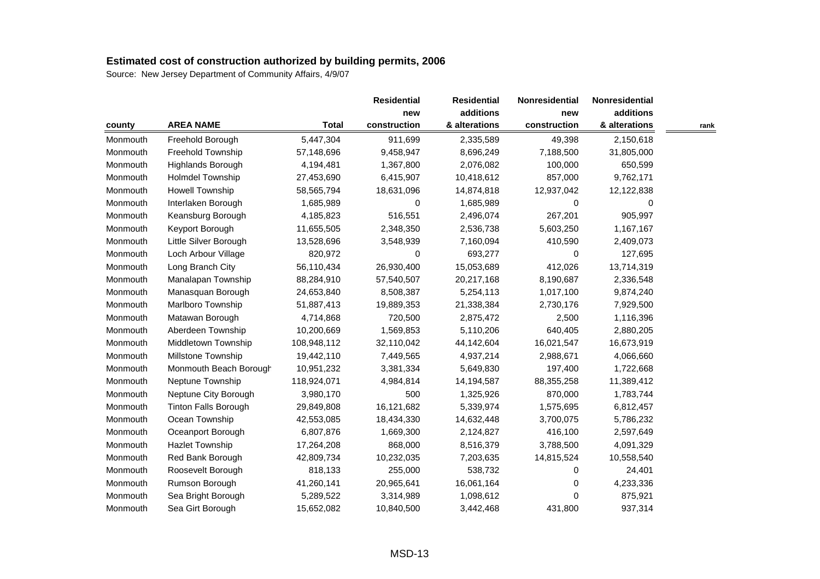| county   |                             |              | <b>Residential</b><br>new | <b>Residential</b><br>additions | Nonresidential | <b>Nonresidential</b><br>additions |      |
|----------|-----------------------------|--------------|---------------------------|---------------------------------|----------------|------------------------------------|------|
|          |                             |              |                           |                                 | new            |                                    |      |
|          | <b>AREA NAME</b>            | <b>Total</b> | construction              | & alterations                   | construction   | & alterations                      | rank |
| Monmouth | Freehold Borough            | 5,447,304    | 911,699                   | 2,335,589                       | 49,398         | 2,150,618                          |      |
| Monmouth | Freehold Township           | 57,148,696   | 9,458,947                 | 8,696,249                       | 7,188,500      | 31,805,000                         |      |
| Monmouth | Highlands Borough           | 4,194,481    | 1,367,800                 | 2,076,082                       | 100,000        | 650,599                            |      |
| Monmouth | <b>Holmdel Township</b>     | 27,453,690   | 6,415,907                 | 10,418,612                      | 857,000        | 9,762,171                          |      |
| Monmouth | <b>Howell Township</b>      | 58,565,794   | 18,631,096                | 14,874,818                      | 12,937,042     | 12,122,838                         |      |
| Monmouth | Interlaken Borough          | 1,685,989    | 0                         | 1,685,989                       | 0              | 0                                  |      |
| Monmouth | Keansburg Borough           | 4,185,823    | 516,551                   | 2,496,074                       | 267,201        | 905,997                            |      |
| Monmouth | Keyport Borough             | 11,655,505   | 2,348,350                 | 2,536,738                       | 5,603,250      | 1,167,167                          |      |
| Monmouth | Little Silver Borough       | 13,528,696   | 3,548,939                 | 7,160,094                       | 410,590        | 2,409,073                          |      |
| Monmouth | Loch Arbour Village         | 820,972      | 0                         | 693,277                         | 0              | 127,695                            |      |
| Monmouth | Long Branch City            | 56,110,434   | 26,930,400                | 15,053,689                      | 412,026        | 13,714,319                         |      |
| Monmouth | Manalapan Township          | 88,284,910   | 57,540,507                | 20,217,168                      | 8,190,687      | 2,336,548                          |      |
| Monmouth | Manasquan Borough           | 24,653,840   | 8,508,387                 | 5,254,113                       | 1,017,100      | 9,874,240                          |      |
| Monmouth | Marlboro Township           | 51,887,413   | 19,889,353                | 21,338,384                      | 2,730,176      | 7,929,500                          |      |
| Monmouth | Matawan Borough             | 4,714,868    | 720,500                   | 2,875,472                       | 2,500          | 1,116,396                          |      |
| Monmouth | Aberdeen Township           | 10,200,669   | 1,569,853                 | 5,110,206                       | 640,405        | 2,880,205                          |      |
| Monmouth | Middletown Township         | 108,948,112  | 32,110,042                | 44,142,604                      | 16,021,547     | 16,673,919                         |      |
| Monmouth | Millstone Township          | 19,442,110   | 7,449,565                 | 4,937,214                       | 2,988,671      | 4,066,660                          |      |
| Monmouth | Monmouth Beach Borough      | 10,951,232   | 3,381,334                 | 5,649,830                       | 197,400        | 1,722,668                          |      |
| Monmouth | Neptune Township            | 118,924,071  | 4,984,814                 | 14,194,587                      | 88,355,258     | 11,389,412                         |      |
| Monmouth | Neptune City Borough        | 3,980,170    | 500                       | 1,325,926                       | 870,000        | 1,783,744                          |      |
| Monmouth | <b>Tinton Falls Borough</b> | 29,849,808   | 16,121,682                | 5,339,974                       | 1,575,695      | 6,812,457                          |      |
| Monmouth | Ocean Township              | 42,553,085   | 18,434,330                | 14,632,448                      | 3,700,075      | 5,786,232                          |      |
| Monmouth | Oceanport Borough           | 6,807,876    | 1,669,300                 | 2,124,827                       | 416,100        | 2,597,649                          |      |
| Monmouth | <b>Hazlet Township</b>      | 17,264,208   | 868,000                   | 8,516,379                       | 3,788,500      | 4,091,329                          |      |
| Monmouth | Red Bank Borough            | 42,809,734   | 10,232,035                | 7,203,635                       | 14,815,524     | 10,558,540                         |      |
| Monmouth | Roosevelt Borough           | 818,133      | 255,000                   | 538,732                         | 0              | 24,401                             |      |
| Monmouth | Rumson Borough              | 41,260,141   | 20,965,641                | 16,061,164                      | 0              | 4,233,336                          |      |
| Monmouth | Sea Bright Borough          | 5,289,522    | 3,314,989                 | 1,098,612                       | 0              | 875,921                            |      |
| Monmouth | Sea Girt Borough            | 15,652,082   | 10,840,500                | 3,442,468                       | 431,800        | 937,314                            |      |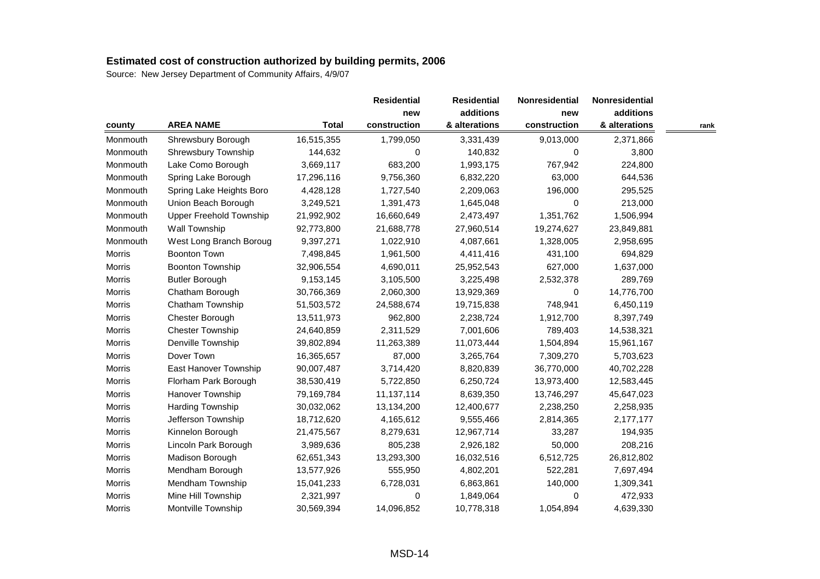| county   |                                |              | <b>Residential</b><br>new | <b>Residential</b><br>additions | Nonresidential | Nonresidential |      |
|----------|--------------------------------|--------------|---------------------------|---------------------------------|----------------|----------------|------|
|          |                                |              |                           |                                 | new            | additions      |      |
|          | <b>AREA NAME</b>               | <b>Total</b> | construction              | & alterations                   | construction   | & alterations  | rank |
| Monmouth | Shrewsbury Borough             | 16,515,355   | 1,799,050                 | 3,331,439                       | 9,013,000      | 2,371,866      |      |
| Monmouth | Shrewsbury Township            | 144,632      | 0                         | 140,832                         | 0              | 3,800          |      |
| Monmouth | Lake Como Borough              | 3,669,117    | 683,200                   | 1,993,175                       | 767,942        | 224,800        |      |
| Monmouth | Spring Lake Borough            | 17,296,116   | 9,756,360                 | 6,832,220                       | 63,000         | 644,536        |      |
| Monmouth | Spring Lake Heights Boro       | 4,428,128    | 1,727,540                 | 2,209,063                       | 196,000        | 295,525        |      |
| Monmouth | Union Beach Borough            | 3,249,521    | 1,391,473                 | 1,645,048                       | $\Omega$       | 213,000        |      |
| Monmouth | <b>Upper Freehold Township</b> | 21,992,902   | 16,660,649                | 2,473,497                       | 1,351,762      | 1,506,994      |      |
| Monmouth | <b>Wall Township</b>           | 92,773,800   | 21,688,778                | 27,960,514                      | 19,274,627     | 23,849,881     |      |
| Monmouth | West Long Branch Boroug        | 9,397,271    | 1,022,910                 | 4,087,661                       | 1,328,005      | 2,958,695      |      |
| Morris   | <b>Boonton Town</b>            | 7,498,845    | 1,961,500                 | 4,411,416                       | 431,100        | 694,829        |      |
| Morris   | <b>Boonton Township</b>        | 32,906,554   | 4,690,011                 | 25,952,543                      | 627,000        | 1,637,000      |      |
| Morris   | <b>Butler Borough</b>          | 9,153,145    | 3,105,500                 | 3,225,498                       | 2,532,378      | 289,769        |      |
| Morris   | Chatham Borough                | 30,766,369   | 2,060,300                 | 13,929,369                      | 0              | 14,776,700     |      |
| Morris   | Chatham Township               | 51,503,572   | 24,588,674                | 19,715,838                      | 748,941        | 6,450,119      |      |
| Morris   | Chester Borough                | 13,511,973   | 962,800                   | 2,238,724                       | 1,912,700      | 8,397,749      |      |
| Morris   | <b>Chester Township</b>        | 24,640,859   | 2,311,529                 | 7,001,606                       | 789,403        | 14,538,321     |      |
| Morris   | Denville Township              | 39,802,894   | 11,263,389                | 11,073,444                      | 1,504,894      | 15,961,167     |      |
| Morris   | Dover Town                     | 16,365,657   | 87,000                    | 3,265,764                       | 7,309,270      | 5,703,623      |      |
| Morris   | East Hanover Township          | 90,007,487   | 3,714,420                 | 8,820,839                       | 36,770,000     | 40,702,228     |      |
| Morris   | Florham Park Borough           | 38,530,419   | 5,722,850                 | 6,250,724                       | 13,973,400     | 12,583,445     |      |
| Morris   | Hanover Township               | 79,169,784   | 11,137,114                | 8,639,350                       | 13,746,297     | 45,647,023     |      |
| Morris   | Harding Township               | 30,032,062   | 13,134,200                | 12,400,677                      | 2,238,250      | 2,258,935      |      |
| Morris   | Jefferson Township             | 18,712,620   | 4,165,612                 | 9,555,466                       | 2,814,365      | 2,177,177      |      |
| Morris   | Kinnelon Borough               | 21,475,567   | 8,279,631                 | 12,967,714                      | 33,287         | 194,935        |      |
| Morris   | Lincoln Park Borough           | 3,989,636    | 805,238                   | 2,926,182                       | 50,000         | 208,216        |      |
| Morris   | Madison Borough                | 62,651,343   | 13,293,300                | 16,032,516                      | 6,512,725      | 26,812,802     |      |
| Morris   | Mendham Borough                | 13,577,926   | 555,950                   | 4,802,201                       | 522,281        | 7,697,494      |      |
| Morris   | Mendham Township               | 15,041,233   | 6,728,031                 | 6,863,861                       | 140,000        | 1,309,341      |      |
| Morris   | Mine Hill Township             | 2,321,997    | 0                         | 1,849,064                       | 0              | 472,933        |      |
| Morris   | Montville Township             | 30,569,394   | 14,096,852                | 10,778,318                      | 1,054,894      | 4,639,330      |      |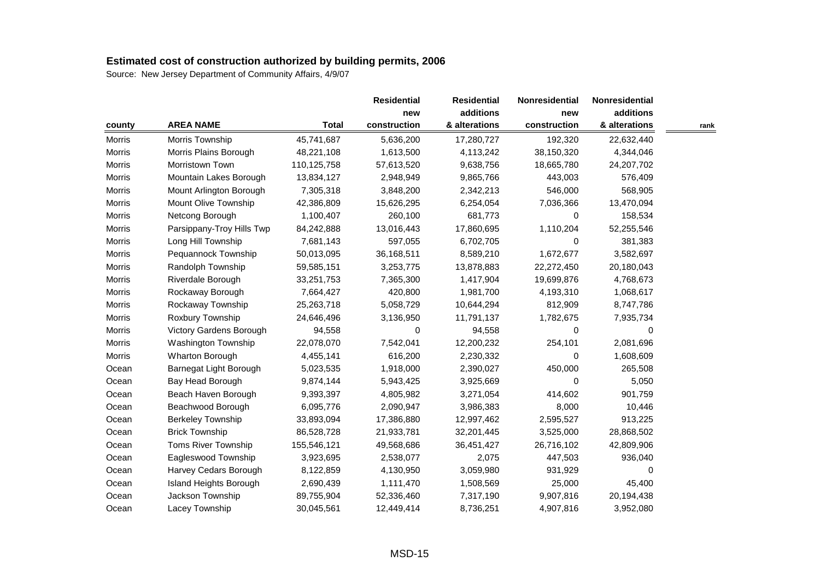| county        |                            |              | <b>Residential</b><br>new | <b>Residential</b> | Nonresidential | Nonresidential<br>additions |      |
|---------------|----------------------------|--------------|---------------------------|--------------------|----------------|-----------------------------|------|
|               |                            |              |                           | additions          | new            |                             |      |
|               | <b>AREA NAME</b>           | <b>Total</b> | construction              | & alterations      | construction   | & alterations               | rank |
| <b>Morris</b> | Morris Township            | 45,741,687   | 5,636,200                 | 17,280,727         | 192,320        | 22,632,440                  |      |
| Morris        | Morris Plains Borough      | 48,221,108   | 1,613,500                 | 4,113,242          | 38,150,320     | 4,344,046                   |      |
| <b>Morris</b> | Morristown Town            | 110,125,758  | 57,613,520                | 9,638,756          | 18,665,780     | 24,207,702                  |      |
| <b>Morris</b> | Mountain Lakes Borough     | 13,834,127   | 2,948,949                 | 9,865,766          | 443,003        | 576,409                     |      |
| Morris        | Mount Arlington Borough    | 7,305,318    | 3,848,200                 | 2,342,213          | 546,000        | 568,905                     |      |
| Morris        | Mount Olive Township       | 42,386,809   | 15,626,295                | 6,254,054          | 7,036,366      | 13,470,094                  |      |
| Morris        | Netcong Borough            | 1,100,407    | 260,100                   | 681,773            | 0              | 158,534                     |      |
| Morris        | Parsippany-Troy Hills Twp  | 84,242,888   | 13,016,443                | 17,860,695         | 1,110,204      | 52,255,546                  |      |
| Morris        | Long Hill Township         | 7,681,143    | 597,055                   | 6,702,705          | 0              | 381,383                     |      |
| <b>Morris</b> | Pequannock Township        | 50,013,095   | 36,168,511                | 8,589,210          | 1,672,677      | 3,582,697                   |      |
| Morris        | Randolph Township          | 59,585,151   | 3,253,775                 | 13,878,883         | 22,272,450     | 20,180,043                  |      |
| Morris        | Riverdale Borough          | 33,251,753   | 7,365,300                 | 1,417,904          | 19,699,876     | 4,768,673                   |      |
| Morris        | Rockaway Borough           | 7,664,427    | 420,800                   | 1,981,700          | 4,193,310      | 1,068,617                   |      |
| <b>Morris</b> | Rockaway Township          | 25,263,718   | 5,058,729                 | 10,644,294         | 812,909        | 8,747,786                   |      |
| <b>Morris</b> | Roxbury Township           | 24,646,496   | 3,136,950                 | 11,791,137         | 1,782,675      | 7,935,734                   |      |
| Morris        | Victory Gardens Borough    | 94,558       | 0                         | 94,558             | 0              | 0                           |      |
| Morris        | <b>Washington Township</b> | 22,078,070   | 7,542,041                 | 12,200,232         | 254,101        | 2,081,696                   |      |
| Morris        | Wharton Borough            | 4,455,141    | 616,200                   | 2,230,332          | 0              | 1,608,609                   |      |
| Ocean         | Barnegat Light Borough     | 5,023,535    | 1,918,000                 | 2,390,027          | 450,000        | 265,508                     |      |
| Ocean         | Bay Head Borough           | 9,874,144    | 5,943,425                 | 3,925,669          | 0              | 5,050                       |      |
| Ocean         | Beach Haven Borough        | 9,393,397    | 4,805,982                 | 3,271,054          | 414.602        | 901,759                     |      |
| Ocean         | Beachwood Borough          | 6,095,776    | 2,090,947                 | 3,986,383          | 8,000          | 10,446                      |      |
| Ocean         | <b>Berkeley Township</b>   | 33,893,094   | 17,386,880                | 12,997,462         | 2,595,527      | 913,225                     |      |
| Ocean         | <b>Brick Township</b>      | 86,528,728   | 21,933,781                | 32,201,445         | 3,525,000      | 28,868,502                  |      |
| Ocean         | Toms River Township        | 155,546,121  | 49,568,686                | 36,451,427         | 26,716,102     | 42,809,906                  |      |
| Ocean         | Eagleswood Township        | 3,923,695    | 2,538,077                 | 2,075              | 447,503        | 936,040                     |      |
| Ocean         | Harvey Cedars Borough      | 8,122,859    | 4,130,950                 | 3,059,980          | 931,929        | 0                           |      |
| Ocean         | Island Heights Borough     | 2,690,439    | 1,111,470                 | 1,508,569          | 25,000         | 45,400                      |      |
| Ocean         | Jackson Township           | 89,755,904   | 52,336,460                | 7,317,190          | 9,907,816      | 20,194,438                  |      |
| Ocean         | Lacey Township             | 30,045,561   | 12,449,414                | 8,736,251          | 4,907,816      | 3,952,080                   |      |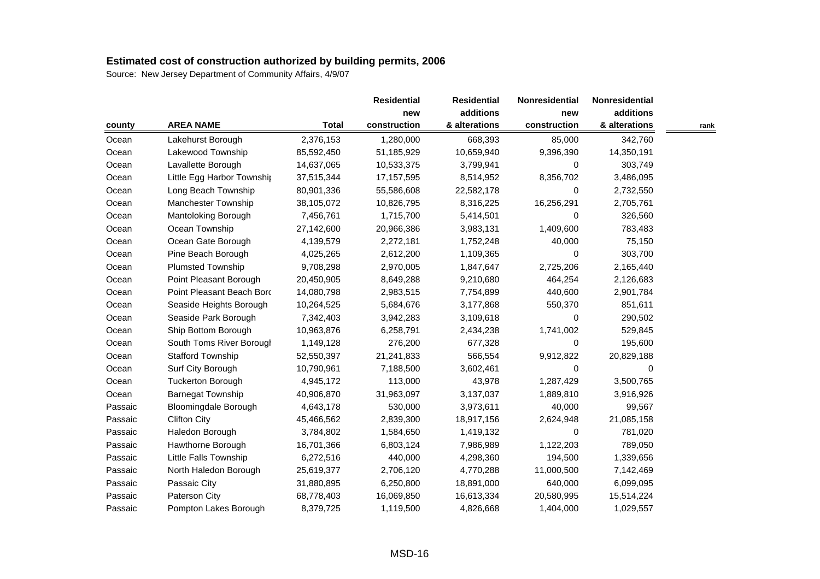| county  |                             |              | <b>Residential</b><br>new | <b>Residential</b> | Nonresidential | Nonresidential<br>additions |      |
|---------|-----------------------------|--------------|---------------------------|--------------------|----------------|-----------------------------|------|
|         |                             |              |                           | additions          | new            |                             |      |
|         | <b>AREA NAME</b>            | <b>Total</b> | construction              | & alterations      | construction   | & alterations               | rank |
| Ocean   | Lakehurst Borough           | 2,376,153    | 1,280,000                 | 668,393            | 85,000         | 342,760                     |      |
| Ocean   | Lakewood Township           | 85,592,450   | 51,185,929                | 10,659,940         | 9,396,390      | 14,350,191                  |      |
| Ocean   | Lavallette Borough          | 14,637,065   | 10,533,375                | 3,799,941          | 0              | 303,749                     |      |
| Ocean   | Little Egg Harbor Township  | 37,515,344   | 17,157,595                | 8,514,952          | 8,356,702      | 3,486,095                   |      |
| Ocean   | Long Beach Township         | 80,901,336   | 55,586,608                | 22,582,178         | 0              | 2,732,550                   |      |
| Ocean   | Manchester Township         | 38,105,072   | 10,826,795                | 8,316,225          | 16,256,291     | 2,705,761                   |      |
| Ocean   | Mantoloking Borough         | 7,456,761    | 1,715,700                 | 5,414,501          | 0              | 326,560                     |      |
| Ocean   | Ocean Township              | 27,142,600   | 20,966,386                | 3,983,131          | 1,409,600      | 783,483                     |      |
| Ocean   | Ocean Gate Borough          | 4,139,579    | 2,272,181                 | 1,752,248          | 40,000         | 75,150                      |      |
| Ocean   | Pine Beach Borough          | 4,025,265    | 2,612,200                 | 1,109,365          | 0              | 303,700                     |      |
| Ocean   | <b>Plumsted Township</b>    | 9,708,298    | 2,970,005                 | 1,847,647          | 2,725,206      | 2,165,440                   |      |
| Ocean   | Point Pleasant Borough      | 20,450,905   | 8,649,288                 | 9,210,680          | 464,254        | 2,126,683                   |      |
| Ocean   | Point Pleasant Beach Bord   | 14,080,798   | 2,983,515                 | 7,754,899          | 440,600        | 2,901,784                   |      |
| Ocean   | Seaside Heights Borough     | 10,264,525   | 5,684,676                 | 3,177,868          | 550,370        | 851,611                     |      |
| Ocean   | Seaside Park Borough        | 7,342,403    | 3,942,283                 | 3,109,618          | 0              | 290,502                     |      |
| Ocean   | Ship Bottom Borough         | 10,963,876   | 6,258,791                 | 2,434,238          | 1,741,002      | 529,845                     |      |
| Ocean   | South Toms River Borougl    | 1,149,128    | 276,200                   | 677,328            | 0              | 195,600                     |      |
| Ocean   | <b>Stafford Township</b>    | 52,550,397   | 21,241,833                | 566,554            | 9,912,822      | 20,829,188                  |      |
| Ocean   | Surf City Borough           | 10,790,961   | 7,188,500                 | 3,602,461          | 0              | 0                           |      |
| Ocean   | <b>Tuckerton Borough</b>    | 4,945,172    | 113,000                   | 43,978             | 1,287,429      | 3,500,765                   |      |
| Ocean   | <b>Barnegat Township</b>    | 40,906,870   | 31,963,097                | 3,137,037          | 1,889,810      | 3,916,926                   |      |
| Passaic | <b>Bloomingdale Borough</b> | 4,643,178    | 530,000                   | 3,973,611          | 40,000         | 99,567                      |      |
| Passaic | <b>Clifton City</b>         | 45,466,562   | 2,839,300                 | 18,917,156         | 2,624,948      | 21,085,158                  |      |
| Passaic | Haledon Borough             | 3,784,802    | 1,584,650                 | 1,419,132          | 0              | 781,020                     |      |
| Passaic | Hawthorne Borough           | 16,701,366   | 6,803,124                 | 7,986,989          | 1,122,203      | 789,050                     |      |
| Passaic | Little Falls Township       | 6,272,516    | 440,000                   | 4,298,360          | 194,500        | 1,339,656                   |      |
| Passaic | North Haledon Borough       | 25,619,377   | 2,706,120                 | 4,770,288          | 11,000,500     | 7,142,469                   |      |
| Passaic | Passaic City                | 31,880,895   | 6,250,800                 | 18,891,000         | 640,000        | 6,099,095                   |      |
| Passaic | Paterson City               | 68,778,403   | 16,069,850                | 16,613,334         | 20,580,995     | 15,514,224                  |      |
| Passaic | Pompton Lakes Borough       | 8,379,725    | 1,119,500                 | 4,826,668          | 1,404,000      | 1,029,557                   |      |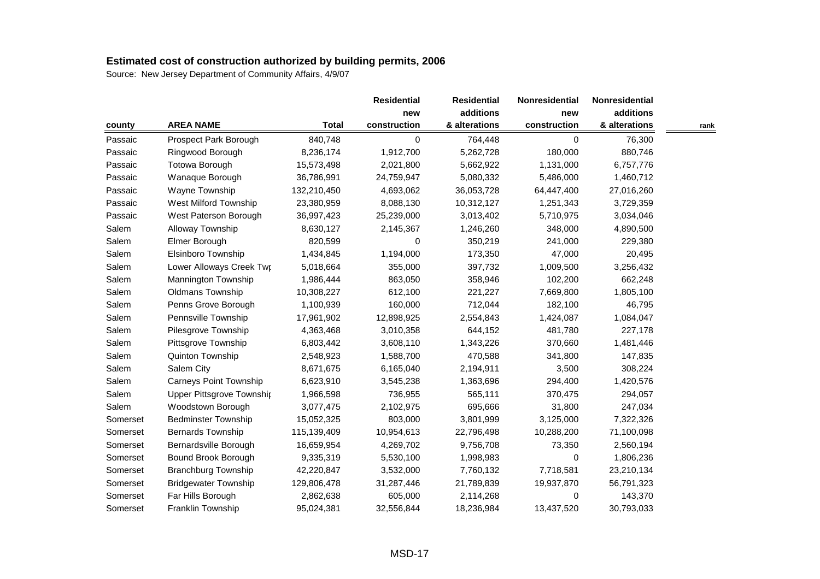| county   |                               |              |              | <b>Residential</b> | Nonresidential | Nonresidential |      |
|----------|-------------------------------|--------------|--------------|--------------------|----------------|----------------|------|
|          |                               |              | new          | additions          | new            | additions      |      |
|          | <b>AREA NAME</b>              | <b>Total</b> | construction | & alterations      | construction   | & alterations  | rank |
| Passaic  | Prospect Park Borough         | 840,748      | 0            | 764,448            | $\mathbf 0$    | 76,300         |      |
| Passaic  | Ringwood Borough              | 8,236,174    | 1,912,700    | 5,262,728          | 180,000        | 880,746        |      |
| Passaic  | <b>Totowa Borough</b>         | 15,573,498   | 2,021,800    | 5,662,922          | 1,131,000      | 6,757,776      |      |
| Passaic  | Wanaque Borough               | 36,786,991   | 24,759,947   | 5,080,332          | 5,486,000      | 1,460,712      |      |
| Passaic  | Wayne Township                | 132,210,450  | 4,693,062    | 36,053,728         | 64,447,400     | 27,016,260     |      |
| Passaic  | West Milford Township         | 23,380,959   | 8,088,130    | 10,312,127         | 1,251,343      | 3,729,359      |      |
| Passaic  | West Paterson Borough         | 36,997,423   | 25,239,000   | 3,013,402          | 5,710,975      | 3,034,046      |      |
| Salem    | Alloway Township              | 8,630,127    | 2,145,367    | 1,246,260          | 348,000        | 4,890,500      |      |
| Salem    | Elmer Borough                 | 820,599      | 0            | 350,219            | 241,000        | 229,380        |      |
| Salem    | Elsinboro Township            | 1,434,845    | 1,194,000    | 173,350            | 47,000         | 20,495         |      |
| Salem    | Lower Alloways Creek Twr      | 5,018,664    | 355,000      | 397,732            | 1,009,500      | 3,256,432      |      |
| Salem    | Mannington Township           | 1,986,444    | 863,050      | 358,946            | 102,200        | 662,248        |      |
| Salem    | Oldmans Township              | 10,308,227   | 612,100      | 221,227            | 7,669,800      | 1,805,100      |      |
| Salem    | Penns Grove Borough           | 1,100,939    | 160,000      | 712,044            | 182,100        | 46,795         |      |
| Salem    | Pennsville Township           | 17,961,902   | 12,898,925   | 2,554,843          | 1,424,087      | 1,084,047      |      |
| Salem    | Pilesgrove Township           | 4,363,468    | 3,010,358    | 644,152            | 481,780        | 227,178        |      |
| Salem    | Pittsgrove Township           | 6,803,442    | 3,608,110    | 1,343,226          | 370,660        | 1,481,446      |      |
| Salem    | Quinton Township              | 2,548,923    | 1,588,700    | 470,588            | 341,800        | 147,835        |      |
| Salem    | Salem City                    | 8,671,675    | 6,165,040    | 2,194,911          | 3,500          | 308,224        |      |
| Salem    | <b>Carneys Point Township</b> | 6,623,910    | 3,545,238    | 1,363,696          | 294,400        | 1,420,576      |      |
| Salem    | Upper Pittsgrove Township     | 1,966,598    | 736,955      | 565,111            | 370,475        | 294,057        |      |
| Salem    | Woodstown Borough             | 3,077,475    | 2,102,975    | 695,666            | 31,800         | 247,034        |      |
| Somerset | <b>Bedminster Township</b>    | 15,052,325   | 803,000      | 3,801,999          | 3,125,000      | 7,322,326      |      |
| Somerset | <b>Bernards Township</b>      | 115,139,409  | 10,954,613   | 22,796,498         | 10,288,200     | 71,100,098     |      |
| Somerset | Bernardsville Borough         | 16,659,954   | 4,269,702    | 9,756,708          | 73,350         | 2,560,194      |      |
| Somerset | Bound Brook Borough           | 9,335,319    | 5,530,100    | 1,998,983          | 0              | 1,806,236      |      |
| Somerset | <b>Branchburg Township</b>    | 42,220,847   | 3,532,000    | 7,760,132          | 7,718,581      | 23,210,134     |      |
| Somerset | <b>Bridgewater Township</b>   | 129,806,478  | 31,287,446   | 21,789,839         | 19,937,870     | 56,791,323     |      |
| Somerset | Far Hills Borough             | 2,862,638    | 605,000      | 2,114,268          | 0              | 143,370        |      |
| Somerset | Franklin Township             | 95,024,381   | 32,556,844   | 18,236,984         | 13,437,520     | 30,793,033     |      |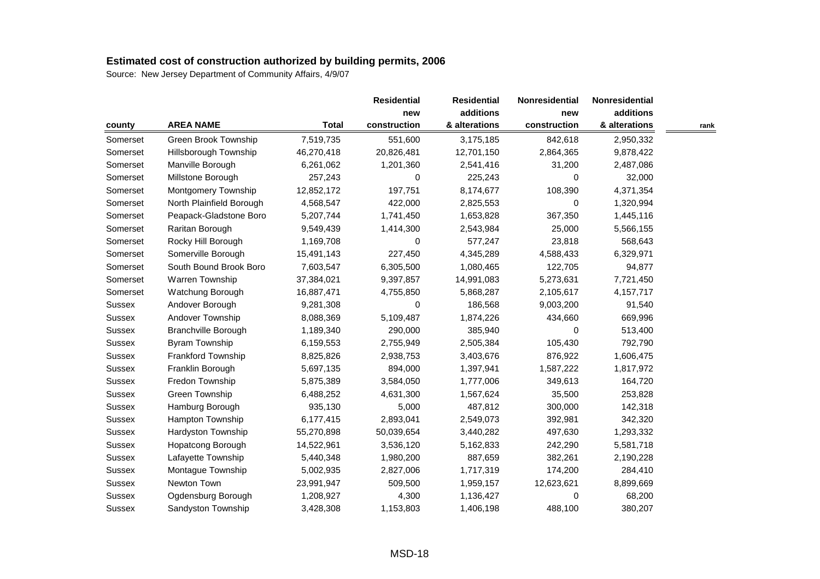|               |                             |              | <b>Residential</b> | <b>Residential</b> | Nonresidential | Nonresidential |      |
|---------------|-----------------------------|--------------|--------------------|--------------------|----------------|----------------|------|
|               |                             |              | new                | additions          | new            | additions      |      |
| county        | <b>AREA NAME</b>            | <b>Total</b> | construction       | & alterations      | construction   | & alterations  | rank |
| Somerset      | <b>Green Brook Township</b> | 7,519,735    | 551,600            | 3,175,185          | 842,618        | 2,950,332      |      |
| Somerset      | Hillsborough Township       | 46,270,418   | 20,826,481         | 12,701,150         | 2,864,365      | 9,878,422      |      |
| Somerset      | Manville Borough            | 6,261,062    | 1,201,360          | 2,541,416          | 31,200         | 2,487,086      |      |
| Somerset      | Millstone Borough           | 257,243      | 0                  | 225,243            | 0              | 32,000         |      |
| Somerset      | Montgomery Township         | 12,852,172   | 197,751            | 8,174,677          | 108,390        | 4,371,354      |      |
| Somerset      | North Plainfield Borough    | 4,568,547    | 422,000            | 2,825,553          | 0              | 1,320,994      |      |
| Somerset      | Peapack-Gladstone Boro      | 5,207,744    | 1,741,450          | 1,653,828          | 367,350        | 1,445,116      |      |
| Somerset      | Raritan Borough             | 9,549,439    | 1,414,300          | 2,543,984          | 25,000         | 5,566,155      |      |
| Somerset      | Rocky Hill Borough          | 1,169,708    | 0                  | 577,247            | 23,818         | 568,643        |      |
| Somerset      | Somerville Borough          | 15,491,143   | 227,450            | 4,345,289          | 4,588,433      | 6,329,971      |      |
| Somerset      | South Bound Brook Boro      | 7,603,547    | 6,305,500          | 1,080,465          | 122,705        | 94,877         |      |
| Somerset      | Warren Township             | 37,384,021   | 9,397,857          | 14,991,083         | 5,273,631      | 7,721,450      |      |
| Somerset      | Watchung Borough            | 16,887,471   | 4,755,850          | 5,868,287          | 2,105,617      | 4,157,717      |      |
| <b>Sussex</b> | Andover Borough             | 9,281,308    | 0                  | 186,568            | 9,003,200      | 91,540         |      |
| <b>Sussex</b> | Andover Township            | 8,088,369    | 5,109,487          | 1,874,226          | 434,660        | 669,996        |      |
| Sussex        | <b>Branchville Borough</b>  | 1,189,340    | 290,000            | 385,940            | 0              | 513,400        |      |
| Sussex        | <b>Byram Township</b>       | 6,159,553    | 2,755,949          | 2,505,384          | 105,430        | 792,790        |      |
| Sussex        | Frankford Township          | 8,825,826    | 2,938,753          | 3,403,676          | 876,922        | 1,606,475      |      |
| Sussex        | Franklin Borough            | 5,697,135    | 894,000            | 1,397,941          | 1,587,222      | 1,817,972      |      |
| Sussex        | Fredon Township             | 5,875,389    | 3,584,050          | 1,777,006          | 349,613        | 164,720        |      |
| Sussex        | Green Township              | 6,488,252    | 4,631,300          | 1,567,624          | 35,500         | 253,828        |      |
| Sussex        | Hamburg Borough             | 935,130      | 5,000              | 487,812            | 300,000        | 142,318        |      |
| <b>Sussex</b> | Hampton Township            | 6,177,415    | 2,893,041          | 2,549,073          | 392,981        | 342,320        |      |
| Sussex        | Hardyston Township          | 55,270,898   | 50,039,654         | 3,440,282          | 497,630        | 1,293,332      |      |
| <b>Sussex</b> | Hopatcong Borough           | 14,522,961   | 3,536,120          | 5,162,833          | 242,290        | 5,581,718      |      |
| <b>Sussex</b> | Lafayette Township          | 5,440,348    | 1,980,200          | 887,659            | 382,261        | 2,190,228      |      |
| Sussex        | Montague Township           | 5,002,935    | 2,827,006          | 1,717,319          | 174,200        | 284,410        |      |
| Sussex        | Newton Town                 | 23,991,947   | 509,500            | 1,959,157          | 12,623,621     | 8,899,669      |      |
| Sussex        | Ogdensburg Borough          | 1,208,927    | 4,300              | 1,136,427          | $\mathbf 0$    | 68,200         |      |
| Sussex        | Sandyston Township          | 3,428,308    | 1,153,803          | 1,406,198          | 488,100        | 380,207        |      |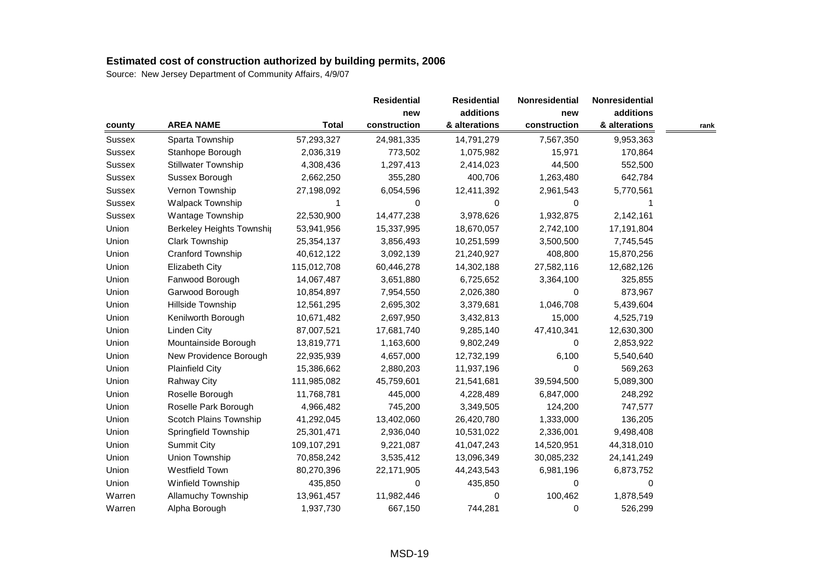| county        |                            |              |              | <b>Residential</b> | Nonresidential | Nonresidential |      |
|---------------|----------------------------|--------------|--------------|--------------------|----------------|----------------|------|
|               |                            |              | new          | additions          | new            | additions      |      |
|               | <b>AREA NAME</b>           | <b>Total</b> | construction | & alterations      | construction   | & alterations  | rank |
| Sussex        | Sparta Township            | 57,293,327   | 24,981,335   | 14,791,279         | 7,567,350      | 9,953,363      |      |
| Sussex        | Stanhope Borough           | 2,036,319    | 773,502      | 1,075,982          | 15,971         | 170,864        |      |
| Sussex        | <b>Stillwater Township</b> | 4,308,436    | 1,297,413    | 2,414,023          | 44,500         | 552,500        |      |
| <b>Sussex</b> | Sussex Borough             | 2,662,250    | 355,280      | 400,706            | 1,263,480      | 642,784        |      |
| Sussex        | Vernon Township            | 27,198,092   | 6,054,596    | 12,411,392         | 2,961,543      | 5,770,561      |      |
| <b>Sussex</b> | Walpack Township           |              | 0            | 0                  | 0              |                |      |
| Sussex        | Wantage Township           | 22,530,900   | 14,477,238   | 3,978,626          | 1,932,875      | 2,142,161      |      |
| Union         | Berkeley Heights Township  | 53,941,956   | 15,337,995   | 18,670,057         | 2,742,100      | 17,191,804     |      |
| Union         | Clark Township             | 25,354,137   | 3,856,493    | 10,251,599         | 3,500,500      | 7,745,545      |      |
| Union         | Cranford Township          | 40,612,122   | 3,092,139    | 21,240,927         | 408,800        | 15,870,256     |      |
| Union         | <b>Elizabeth City</b>      | 115,012,708  | 60,446,278   | 14,302,188         | 27,582,116     | 12,682,126     |      |
| Union         | Fanwood Borough            | 14,067,487   | 3,651,880    | 6,725,652          | 3,364,100      | 325,855        |      |
| Union         | Garwood Borough            | 10,854,897   | 7,954,550    | 2,026,380          | 0              | 873,967        |      |
| Union         | Hillside Township          | 12,561,295   | 2,695,302    | 3,379,681          | 1,046,708      | 5,439,604      |      |
| Union         | Kenilworth Borough         | 10,671,482   | 2,697,950    | 3,432,813          | 15,000         | 4,525,719      |      |
| Union         | Linden City                | 87,007,521   | 17,681,740   | 9,285,140          | 47,410,341     | 12,630,300     |      |
| Union         | Mountainside Borough       | 13,819,771   | 1,163,600    | 9,802,249          | 0              | 2,853,922      |      |
| Union         | New Providence Borough     | 22,935,939   | 4,657,000    | 12,732,199         | 6,100          | 5,540,640      |      |
| Union         | <b>Plainfield City</b>     | 15,386,662   | 2,880,203    | 11,937,196         | 0              | 569,263        |      |
| Union         | <b>Rahway City</b>         | 111,985,082  | 45,759,601   | 21,541,681         | 39,594,500     | 5,089,300      |      |
| Union         | Roselle Borough            | 11,768,781   | 445,000      | 4,228,489          | 6,847,000      | 248,292        |      |
| Union         | Roselle Park Borough       | 4,966,482    | 745,200      | 3,349,505          | 124,200        | 747,577        |      |
| Union         | Scotch Plains Township     | 41,292,045   | 13,402,060   | 26,420,780         | 1,333,000      | 136,205        |      |
| Union         | Springfield Township       | 25,301,471   | 2,936,040    | 10,531,022         | 2,336,001      | 9,498,408      |      |
| Union         | <b>Summit City</b>         | 109,107,291  | 9,221,087    | 41,047,243         | 14,520,951     | 44,318,010     |      |
| Union         | Union Township             | 70,858,242   | 3,535,412    | 13,096,349         | 30,085,232     | 24, 141, 249   |      |
| Union         | Westfield Town             | 80,270,396   | 22,171,905   | 44,243,543         | 6,981,196      | 6,873,752      |      |
| Union         | Winfield Township          | 435,850      | 0            | 435,850            | 0              | 0              |      |
| Warren        | Allamuchy Township         | 13,961,457   | 11,982,446   | 0                  | 100,462        | 1,878,549      |      |
| Warren        | Alpha Borough              | 1,937,730    | 667,150      | 744,281            | 0              | 526,299        |      |